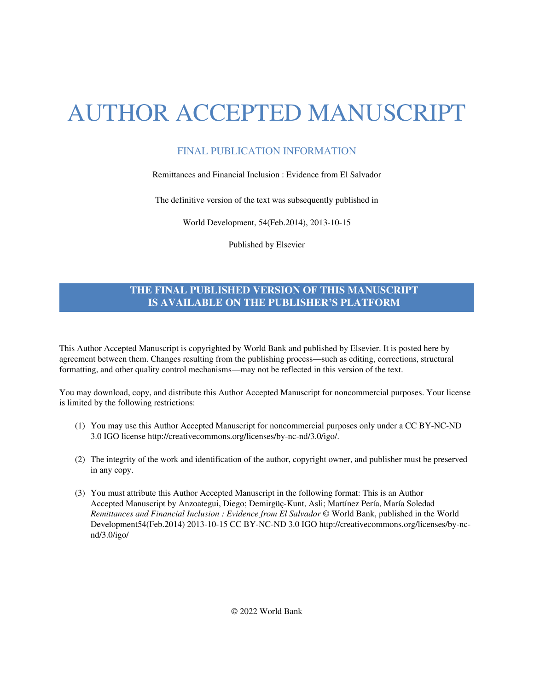# AUTHOR ACCEPTED MANUSCRIPT

# FINAL PUBLICATION INFORMATION

## Remittances and Financial Inclusion : Evidence from El Salvador

The definitive version of the text was subsequently published in

World Development, 54(Feb.2014), 2013-10-15

Published by Elsevier

# **THE FINAL PUBLISHED VERSION OF THIS MANUSCRIPT IS AVAILABLE ON THE PUBLISHER'S PLATFORM**

This Author Accepted Manuscript is copyrighted by World Bank and published by Elsevier. It is posted here by agreement between them. Changes resulting from the publishing process—such as editing, corrections, structural formatting, and other quality control mechanisms—may not be reflected in this version of the text.

You may download, copy, and distribute this Author Accepted Manuscript for noncommercial purposes. Your license is limited by the following restrictions:

- (1) You may use this Author Accepted Manuscript for noncommercial purposes only under a CC BY-NC-ND 3.0 IGO licens[e http://creativecommons.org/licenses/by-nc-nd/3.0/igo/.](http://creativecommons.org/licenses/by-nc-nd/3.0/igo/)
- (2) The integrity of the work and identification of the author, copyright owner, and publisher must be preserved in any copy.
- (3) You must attribute this Author Accepted Manuscript in the following format: This is an Author Accepted Manuscript by Anzoategui, Diego; Demirgüç-Kunt, Asli; Martínez Pería, María Soledad *Remittances and Financial Inclusion : Evidence from El Salvador* © World Bank, published in the World Development54(Feb.2014) 2013-10-15 [CC BY-NC-ND 3.0 IGO http://creativecommons.org/licenses/by-nc](http://creativecommons.org/licenses/by-nc-nd/3.0/igo/)[nd/3.0/igo/](http://creativecommons.org/licenses/by-nc-nd/3.0/igo/)

© 2022 World Bank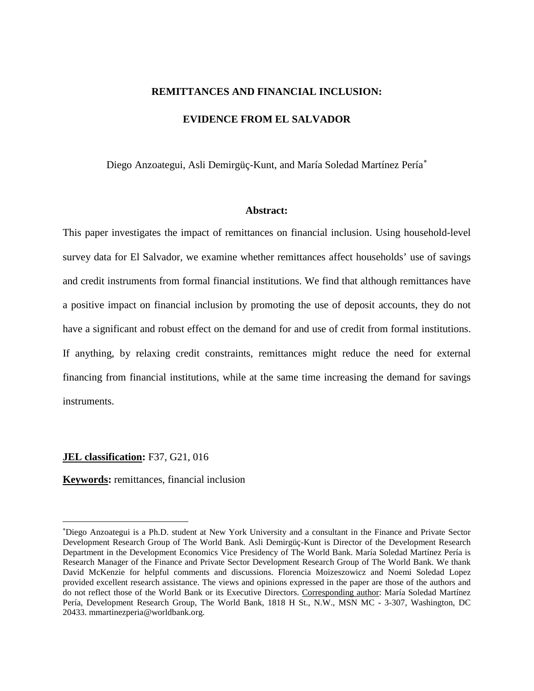## **REMITTANCES AND FINANCIAL INCLUSION:**

## **EVIDENCE FROM EL SALVADOR**

Diego Anzoategui, Asli Demirgüç-Kunt, and María Soledad Martínez Pería<sup>\*</sup>

#### **Abstract:**

This paper investigates the impact of remittances on financial inclusion. Using household-level survey data for El Salvador, we examine whether remittances affect households' use of savings and credit instruments from formal financial institutions. We find that although remittances have a positive impact on financial inclusion by promoting the use of deposit accounts, they do not have a significant and robust effect on the demand for and use of credit from formal institutions. If anything, by relaxing credit constraints, remittances might reduce the need for external financing from financial institutions, while at the same time increasing the demand for savings instruments.

#### **JEL classification:** F37, G21, 016

l

#### **Keywords:** remittances, financial inclusion

<span id="page-1-0"></span><sup>∗</sup> Diego Anzoategui is a Ph.D. student at New York University and a consultant in the Finance and Private Sector Development Research Group of The World Bank. Asli Demirgüç-Kunt is Director of the Development Research Department in the Development Economics Vice Presidency of The World Bank. María Soledad Martínez Pería is Research Manager of the Finance and Private Sector Development Research Group of The World Bank. We thank David McKenzie for helpful comments and discussions. Florencia Moizeszowicz and Noemi Soledad Lopez provided excellent research assistance. The views and opinions expressed in the paper are those of the authors and do not reflect those of the World Bank or its Executive Directors. Corresponding author: María Soledad Martínez Pería, Development Research Group, The World Bank, 1818 H St., N.W., MSN MC - 3-307, Washington, DC 20433. mmartinezperia@worldbank.org.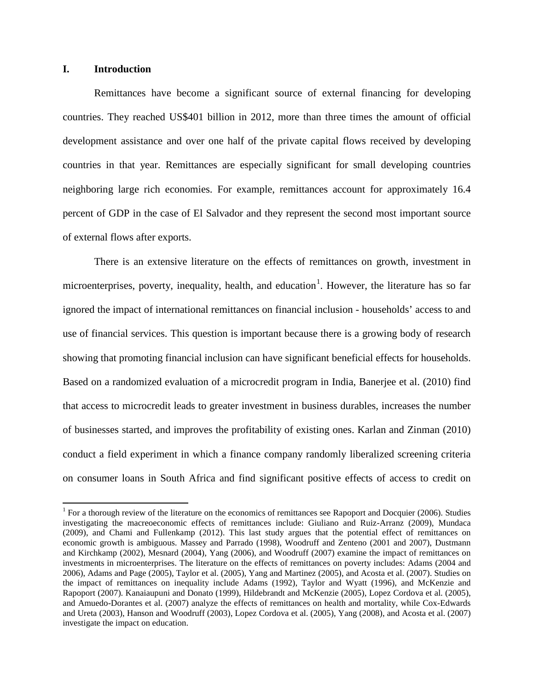# **I. Introduction**

Remittances have become a significant source of external financing for developing countries. They reached US\$401 billion in 2012, more than three times the amount of official development assistance and over one half of the private capital flows received by developing countries in that year. Remittances are especially significant for small developing countries neighboring large rich economies. For example, remittances account for approximately 16.4 percent of GDP in the case of El Salvador and they represent the second most important source of external flows after exports.

There is an extensive literature on the effects of remittances on growth, investment in microenterprises, poverty, inequality, health, and education<sup>[1](#page-2-0)</sup>. However, the literature has so far ignored the impact of international remittances on financial inclusion - households' access to and use of financial services. This question is important because there is a growing body of research showing that promoting financial inclusion can have significant beneficial effects for households. Based on a randomized evaluation of a microcredit program in India, Banerjee et al. (2010) find that access to microcredit leads to greater investment in business durables, increases the number of businesses started, and improves the profitability of existing ones. Karlan and Zinman (2010) conduct a field experiment in which a finance company randomly liberalized screening criteria on consumer loans in South Africa and find significant positive effects of access to credit on

<span id="page-2-0"></span><sup>&</sup>lt;sup>1</sup> For a thorough review of the literature on the economics of remittances see Rapoport and Docquier (2006). Studies investigating the macreoeconomic effects of remittances include: Giuliano and Ruiz-Arranz (2009), Mundaca (2009), and Chami and Fullenkamp (2012). This last study argues that the potential effect of remittances on economic growth is ambiguous. Massey and Parrado (1998), Woodruff and Zenteno (2001 and 2007), Dustmann and Kirchkamp (2002), Mesnard (2004), Yang (2006), and Woodruff (2007) examine the impact of remittances on investments in microenterprises. The literature on the effects of remittances on poverty includes: Adams (2004 and 2006), Adams and Page (2005), Taylor et al. (2005), Yang and Martinez (2005), and Acosta et al. (2007). Studies on the impact of remittances on inequality include Adams (1992), Taylor and Wyatt (1996), and McKenzie and Rapoport (2007). Kanaiaupuni and Donato (1999), Hildebrandt and McKenzie (2005), Lopez Cordova et al. (2005), and Amuedo-Dorantes et al. (2007) analyze the effects of remittances on health and mortality, while Cox-Edwards and Ureta (2003), Hanson and Woodruff (2003), Lopez Cordova et al. (2005), Yang (2008), and Acosta et al. (2007) investigate the impact on education.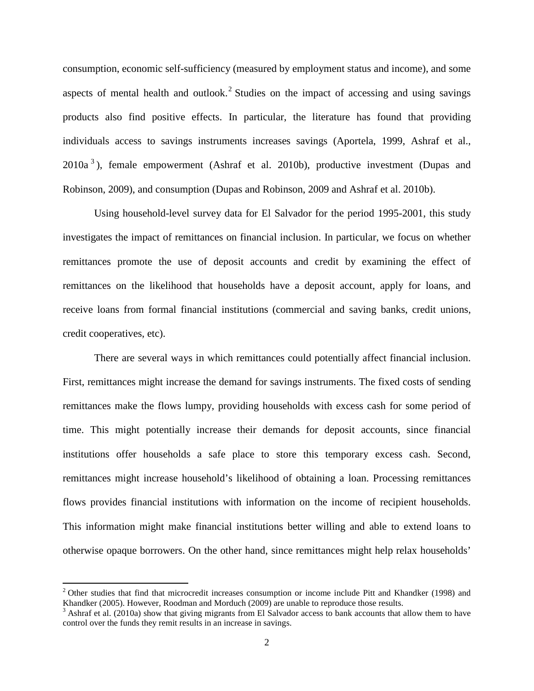consumption, economic self-sufficiency (measured by employment status and income), and some aspects of mental health and outlook.<sup>[2](#page-3-0)</sup> Studies on the impact of accessing and using savings products also find positive effects. In particular, the literature has found that providing individuals access to savings instruments increases savings (Aportela, 1999, Ashraf et al.,  $2010a<sup>3</sup>$  $2010a<sup>3</sup>$  $2010a<sup>3</sup>$ ), female empowerment (Ashraf et al. 2010b), productive investment (Dupas and Robinson, 2009), and consumption (Dupas and Robinson, 2009 and Ashraf et al. 2010b).

Using household-level survey data for El Salvador for the period 1995-2001, this study investigates the impact of remittances on financial inclusion. In particular, we focus on whether remittances promote the use of deposit accounts and credit by examining the effect of remittances on the likelihood that households have a deposit account, apply for loans, and receive loans from formal financial institutions (commercial and saving banks, credit unions, credit cooperatives, etc).

There are several ways in which remittances could potentially affect financial inclusion. First, remittances might increase the demand for savings instruments. The fixed costs of sending remittances make the flows lumpy, providing households with excess cash for some period of time. This might potentially increase their demands for deposit accounts, since financial institutions offer households a safe place to store this temporary excess cash. Second, remittances might increase household's likelihood of obtaining a loan. Processing remittances flows provides financial institutions with information on the income of recipient households. This information might make financial institutions better willing and able to extend loans to otherwise opaque borrowers. On the other hand, since remittances might help relax households'

<span id="page-3-0"></span> $2$  Other studies that find that microcredit increases consumption or income include Pitt and Khandker (1998) and Khandker (2005). However, Roodman and Morduch (2009) are unable to reproduce those results.

<span id="page-3-1"></span> $3$  Ashraf et al. (2010a) show that giving migrants from El Salvador access to bank accounts that allow them to have control over the funds they remit results in an increase in savings.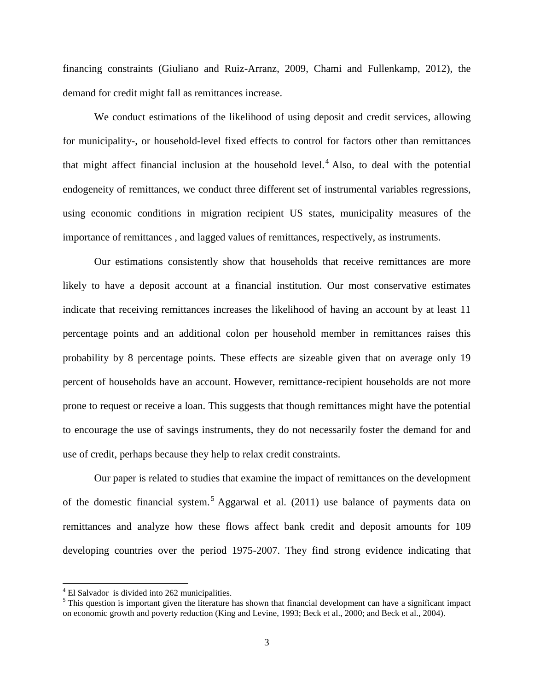financing constraints (Giuliano and Ruiz-Arranz, 2009, Chami and Fullenkamp, 2012), the demand for credit might fall as remittances increase.

We conduct estimations of the likelihood of using deposit and credit services, allowing for municipality-, or household-level fixed effects to control for factors other than remittances that might affect financial inclusion at the household level.<sup>[4](#page-4-0)</sup> Also, to deal with the potential endogeneity of remittances, we conduct three different set of instrumental variables regressions, using economic conditions in migration recipient US states, municipality measures of the importance of remittances , and lagged values of remittances, respectively, as instruments.

Our estimations consistently show that households that receive remittances are more likely to have a deposit account at a financial institution. Our most conservative estimates indicate that receiving remittances increases the likelihood of having an account by at least 11 percentage points and an additional colon per household member in remittances raises this probability by 8 percentage points. These effects are sizeable given that on average only 19 percent of households have an account. However, remittance-recipient households are not more prone to request or receive a loan. This suggests that though remittances might have the potential to encourage the use of savings instruments, they do not necessarily foster the demand for and use of credit, perhaps because they help to relax credit constraints.

Our paper is related to studies that examine the impact of remittances on the development of the domestic financial system.<sup>[5](#page-4-1)</sup> Aggarwal et al. (2011) use balance of payments data on remittances and analyze how these flows affect bank credit and deposit amounts for 109 developing countries over the period 1975-2007. They find strong evidence indicating that

 $4$  El Salvador is divided into 262 municipalities.

<span id="page-4-1"></span><span id="page-4-0"></span><sup>&</sup>lt;sup>5</sup> This question is important given the literature has shown that financial development can have a significant impact on economic growth and poverty reduction (King and Levine, 1993; Beck et al., 2000; and Beck et al., 2004).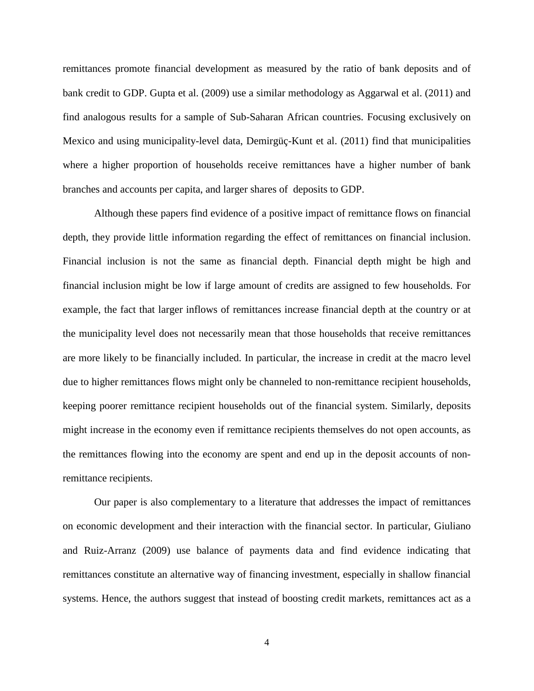remittances promote financial development as measured by the ratio of bank deposits and of bank credit to GDP. Gupta et al. (2009) use a similar methodology as Aggarwal et al. (2011) and find analogous results for a sample of Sub-Saharan African countries. Focusing exclusively on Mexico and using municipality-level data, Demirgüç-Kunt et al. (2011) find that municipalities where a higher proportion of households receive remittances have a higher number of bank branches and accounts per capita, and larger shares of deposits to GDP.

Although these papers find evidence of a positive impact of remittance flows on financial depth, they provide little information regarding the effect of remittances on financial inclusion. Financial inclusion is not the same as financial depth. Financial depth might be high and financial inclusion might be low if large amount of credits are assigned to few households. For example, the fact that larger inflows of remittances increase financial depth at the country or at the municipality level does not necessarily mean that those households that receive remittances are more likely to be financially included. In particular, the increase in credit at the macro level due to higher remittances flows might only be channeled to non-remittance recipient households, keeping poorer remittance recipient households out of the financial system. Similarly, deposits might increase in the economy even if remittance recipients themselves do not open accounts, as the remittances flowing into the economy are spent and end up in the deposit accounts of nonremittance recipients.

Our paper is also complementary to a literature that addresses the impact of remittances on economic development and their interaction with the financial sector. In particular, Giuliano and Ruiz-Arranz (2009) use balance of payments data and find evidence indicating that remittances constitute an alternative way of financing investment, especially in shallow financial systems. Hence, the authors suggest that instead of boosting credit markets, remittances act as a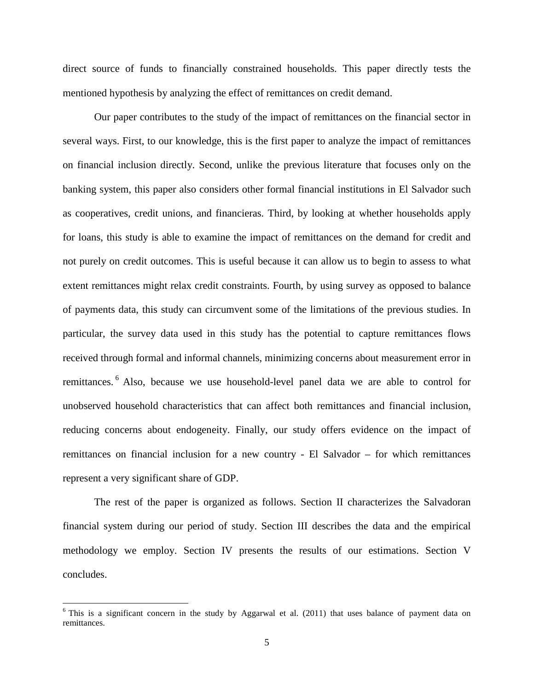direct source of funds to financially constrained households. This paper directly tests the mentioned hypothesis by analyzing the effect of remittances on credit demand.

Our paper contributes to the study of the impact of remittances on the financial sector in several ways. First, to our knowledge, this is the first paper to analyze the impact of remittances on financial inclusion directly. Second, unlike the previous literature that focuses only on the banking system, this paper also considers other formal financial institutions in El Salvador such as cooperatives, credit unions, and financieras. Third, by looking at whether households apply for loans, this study is able to examine the impact of remittances on the demand for credit and not purely on credit outcomes. This is useful because it can allow us to begin to assess to what extent remittances might relax credit constraints. Fourth, by using survey as opposed to balance of payments data, this study can circumvent some of the limitations of the previous studies. In particular, the survey data used in this study has the potential to capture remittances flows received through formal and informal channels, minimizing concerns about measurement error in remittances. [6](#page-6-0) Also, because we use household-level panel data we are able to control for unobserved household characteristics that can affect both remittances and financial inclusion, reducing concerns about endogeneity. Finally, our study offers evidence on the impact of remittances on financial inclusion for a new country - El Salvador – for which remittances represent a very significant share of GDP.

The rest of the paper is organized as follows. Section II characterizes the Salvadoran financial system during our period of study. Section III describes the data and the empirical methodology we employ. Section IV presents the results of our estimations. Section V concludes.

<span id="page-6-0"></span> $6$  This is a significant concern in the study by Aggarwal et al. (2011) that uses balance of payment data on remittances.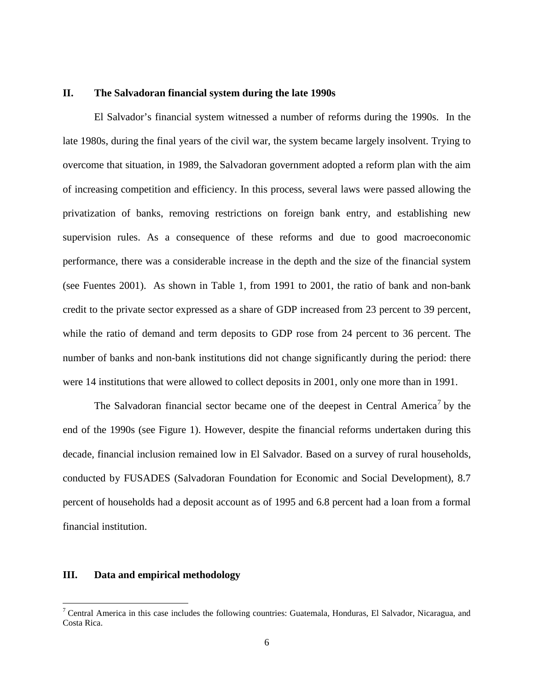# **II. The Salvadoran financial system during the late 1990s**

El Salvador's financial system witnessed a number of reforms during the 1990s. In the late 1980s, during the final years of the civil war, the system became largely insolvent. Trying to overcome that situation, in 1989, the Salvadoran government adopted a reform plan with the aim of increasing competition and efficiency. In this process, several laws were passed allowing the privatization of banks, removing restrictions on foreign bank entry, and establishing new supervision rules. As a consequence of these reforms and due to good macroeconomic performance, there was a considerable increase in the depth and the size of the financial system (see Fuentes 2001). As shown in Table 1, from 1991 to 2001, the ratio of bank and non-bank credit to the private sector expressed as a share of GDP increased from 23 percent to 39 percent, while the ratio of demand and term deposits to GDP rose from 24 percent to 36 percent. The number of banks and non-bank institutions did not change significantly during the period: there were 14 institutions that were allowed to collect deposits in 2001, only one more than in 1991.

The Salvadoran financial sector became one of the deepest in Central America<sup>[7](#page-7-0)</sup> by the end of the 1990s (see Figure 1). However, despite the financial reforms undertaken during this decade, financial inclusion remained low in El Salvador. Based on a survey of rural households, conducted by FUSADES (Salvadoran Foundation for Economic and Social Development), 8.7 percent of households had a deposit account as of 1995 and 6.8 percent had a loan from a formal financial institution.

## **III. Data and empirical methodology**

<span id="page-7-0"></span><sup>&</sup>lt;sup>7</sup> Central America in this case includes the following countries: Guatemala, Honduras, El Salvador, Nicaragua, and Costa Rica.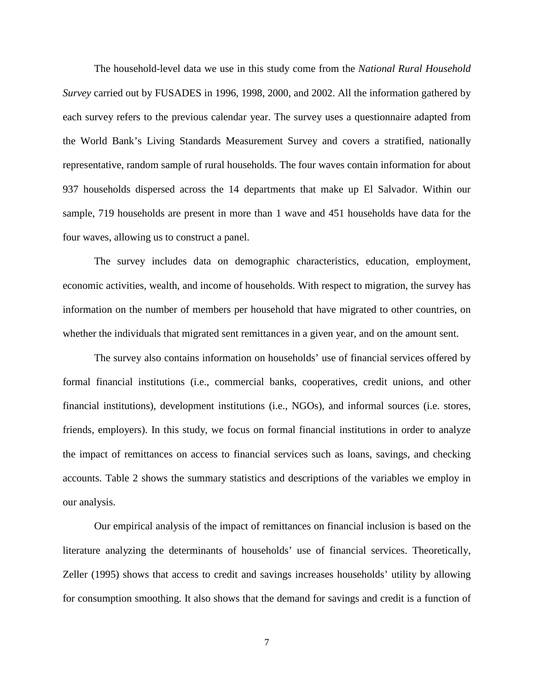The household-level data we use in this study come from the *National Rural Household Survey* carried out by FUSADES in 1996, 1998, 2000, and 2002. All the information gathered by each survey refers to the previous calendar year. The survey uses a questionnaire adapted from the World Bank's Living Standards Measurement Survey and covers a stratified, nationally representative, random sample of rural households. The four waves contain information for about 937 households dispersed across the 14 departments that make up El Salvador. Within our sample, 719 households are present in more than 1 wave and 451 households have data for the four waves, allowing us to construct a panel.

The survey includes data on demographic characteristics, education, employment, economic activities, wealth, and income of households. With respect to migration, the survey has information on the number of members per household that have migrated to other countries, on whether the individuals that migrated sent remittances in a given year, and on the amount sent.

The survey also contains information on households' use of financial services offered by formal financial institutions (i.e., commercial banks, cooperatives, credit unions, and other financial institutions), development institutions (i.e., NGOs), and informal sources (i.e. stores, friends, employers). In this study, we focus on formal financial institutions in order to analyze the impact of remittances on access to financial services such as loans, savings, and checking accounts. Table 2 shows the summary statistics and descriptions of the variables we employ in our analysis.

Our empirical analysis of the impact of remittances on financial inclusion is based on the literature analyzing the determinants of households' use of financial services. Theoretically, Zeller (1995) shows that access to credit and savings increases households' utility by allowing for consumption smoothing. It also shows that the demand for savings and credit is a function of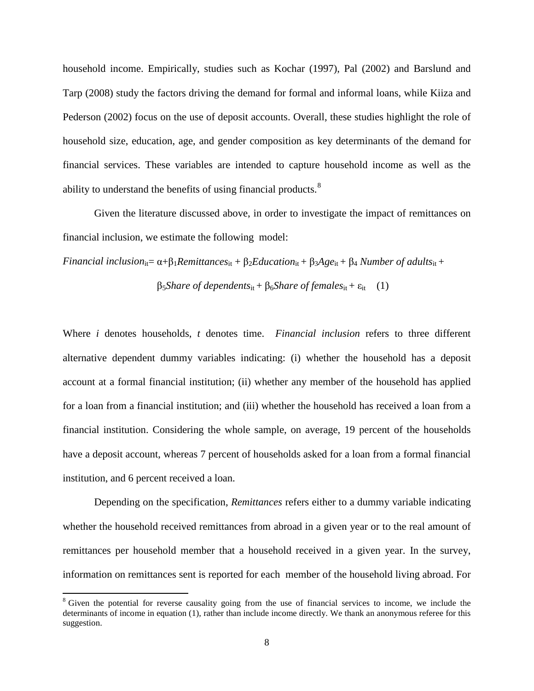household income. Empirically, studies such as Kochar (1997), Pal (2002) and Barslund and Tarp (2008) study the factors driving the demand for formal and informal loans, while Kiiza and Pederson (2002) focus on the use of deposit accounts. Overall, these studies highlight the role of household size, education, age, and gender composition as key determinants of the demand for financial services. These variables are intended to capture household income as well as the ability to understand the benefits of using financial products.<sup>[8](#page-9-0)</sup>

Given the literature discussed above, in order to investigate the impact of remittances on financial inclusion, we estimate the following model:

*Financial inclusion*<sub>it</sub>=  $\alpha + \beta_1$ *Remittances*<sub>it</sub> +  $\beta_2$ *Education*<sub>it</sub> +  $\beta_3$ *Age*<sub>it</sub> +  $\beta_4$  *Number of adults*<sub>it</sub> +

 $β<sub>5</sub>Share of dependents<sub>it</sub> + β<sub>6</sub>Share of females<sub>it</sub> + ε<sub>it</sub> (1)$ 

Where *i* denotes households, *t* denotes time. *Financial inclusion* refers to three different alternative dependent dummy variables indicating: (i) whether the household has a deposit account at a formal financial institution; (ii) whether any member of the household has applied for a loan from a financial institution; and (iii) whether the household has received a loan from a financial institution. Considering the whole sample, on average, 19 percent of the households have a deposit account, whereas 7 percent of households asked for a loan from a formal financial institution, and 6 percent received a loan.

Depending on the specification, *Remittances* refers either to a dummy variable indicating whether the household received remittances from abroad in a given year or to the real amount of remittances per household member that a household received in a given year. In the survey, information on remittances sent is reported for each member of the household living abroad. For

<span id="page-9-0"></span><sup>&</sup>lt;sup>8</sup> Given the potential for reverse causality going from the use of financial services to income, we include the determinants of income in equation (1), rather than include income directly. We thank an anonymous referee for this suggestion.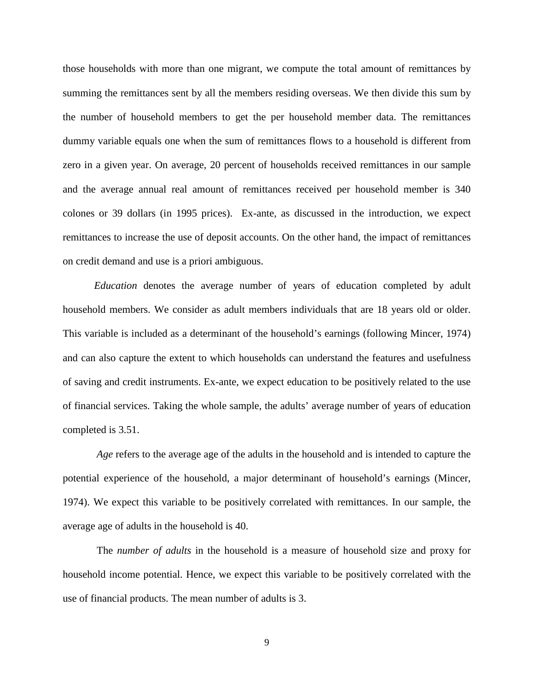those households with more than one migrant, we compute the total amount of remittances by summing the remittances sent by all the members residing overseas. We then divide this sum by the number of household members to get the per household member data. The remittances dummy variable equals one when the sum of remittances flows to a household is different from zero in a given year. On average, 20 percent of households received remittances in our sample and the average annual real amount of remittances received per household member is 340 colones or 39 dollars (in 1995 prices). Ex-ante, as discussed in the introduction, we expect remittances to increase the use of deposit accounts. On the other hand, the impact of remittances on credit demand and use is a priori ambiguous.

*Education* denotes the average number of years of education completed by adult household members. We consider as adult members individuals that are 18 years old or older. This variable is included as a determinant of the household's earnings (following Mincer, 1974) and can also capture the extent to which households can understand the features and usefulness of saving and credit instruments. Ex-ante, we expect education to be positively related to the use of financial services. Taking the whole sample, the adults' average number of years of education completed is 3.51.

*Age* refers to the average age of the adults in the household and is intended to capture the potential experience of the household, a major determinant of household's earnings (Mincer, 1974). We expect this variable to be positively correlated with remittances. In our sample, the average age of adults in the household is 40.

The *number of adults* in the household is a measure of household size and proxy for household income potential. Hence, we expect this variable to be positively correlated with the use of financial products. The mean number of adults is 3.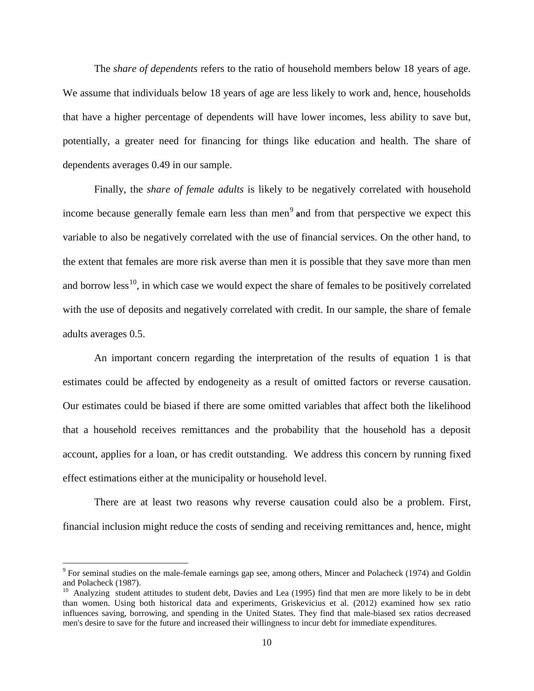The *share of dependents* refers to the ratio of household members below 18 years of age. We assume that individuals below 18 years of age are less likely to work and, hence, households that have a higher percentage of dependents will have lower incomes, less ability to save but, potentially, a greater need for financing for things like education and health. The share of dependents averages 0.49 in our sample.

Finally, the *share of female adults* is likely to be negatively correlated with household income because generally female earn less than men<sup>[9](#page-11-0)</sup> and from that perspective we expect this variable to also be negatively correlated with the use of financial services. On the other hand, to the extent that females are more risk averse than men it is possible that they save more than men and borrow less<sup>10</sup>, in which case we would expect the share of females to be positively correlated with the use of deposits and negatively correlated with credit. In our sample, the share of female adults averages 0.5.

An important concern regarding the interpretation of the results of equation 1 is that estimates could be affected by endogeneity as a result of omitted factors or reverse causation. Our estimates could be biased if there are some omitted variables that affect both the likelihood that a household receives remittances and the probability that the household has a deposit account, applies for a loan, or has credit outstanding. We address this concern by running fixed effect estimations either at the municipality or household level.

There are at least two reasons why reverse causation could also be a problem. First, financial inclusion might reduce the costs of sending and receiving remittances and, hence, might

<span id="page-11-0"></span> $9$  For seminal studies on the male-female earnings gap see, among others, Mincer and Polacheck (1974) and Goldin and Polacheck (1987).

<span id="page-11-1"></span><sup>&</sup>lt;sup>10</sup> Analyzing student attitudes to student debt, Davies and Lea (1995) find that men are more likely to be in debt than women. Using both historical data and experiments, Griskevicius et al. (2012) examined how sex ratio influences saving, borrowing, and spending in the United States. They find that male-biased sex ratios decreased men's desire to save for the future and increased their willingness to incur debt for immediate expenditures.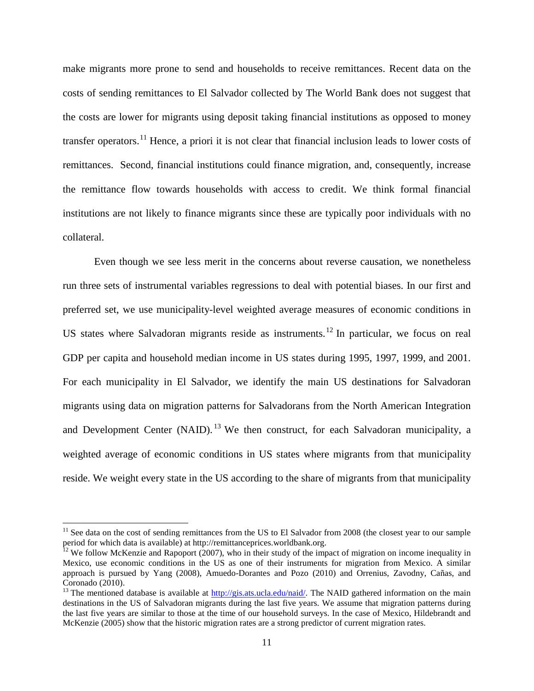make migrants more prone to send and households to receive remittances. Recent data on the costs of sending remittances to El Salvador collected by The World Bank does not suggest that the costs are lower for migrants using deposit taking financial institutions as opposed to money transfer operators.[11](#page-12-0) Hence, a priori it is not clear that financial inclusion leads to lower costs of remittances. Second, financial institutions could finance migration, and, consequently, increase the remittance flow towards households with access to credit. We think formal financial institutions are not likely to finance migrants since these are typically poor individuals with no collateral.

Even though we see less merit in the concerns about reverse causation, we nonetheless run three sets of instrumental variables regressions to deal with potential biases. In our first and preferred set, we use municipality-level weighted average measures of economic conditions in US states where Salvadoran migrants reside as instruments.<sup>[12](#page-12-1)</sup> In particular, we focus on real GDP per capita and household median income in US states during 1995, 1997, 1999, and 2001. For each municipality in El Salvador, we identify the main US destinations for Salvadoran migrants using data on migration patterns for Salvadorans from the North American Integration and Development Center (NAID).<sup>[13](#page-12-2)</sup> We then construct, for each Salvadoran municipality, a weighted average of economic conditions in US states where migrants from that municipality reside. We weight every state in the US according to the share of migrants from that municipality

<span id="page-12-0"></span><sup>&</sup>lt;sup>11</sup> See data on the cost of sending remittances from the US to El Salvador from 2008 (the closest year to our sample period for which data is available) at http://remittanceprices.worldbank.org.

<span id="page-12-1"></span> $12$  We follow McKenzie and Rapoport (2007), who in their study of the impact of migration on income inequality in Mexico, use economic conditions in the US as one of their instruments for migration from Mexico. A similar approach is pursued by Yang (2008), Amuedo-Dorantes and Pozo (2010) and Orrenius, Zavodny, Cañas, and Coronado (2010).

<span id="page-12-2"></span><sup>&</sup>lt;sup>13</sup> The mentioned database is available at [http://gis.ats.ucla.edu/naid/.](http://gis.ats.ucla.edu/naid/) The NAID gathered information on the main destinations in the US of Salvadoran migrants during the last five years. We assume that migration patterns during the last five years are similar to those at the time of our household surveys. In the case of Mexico, Hildebrandt and McKenzie (2005) show that the historic migration rates are a strong predictor of current migration rates.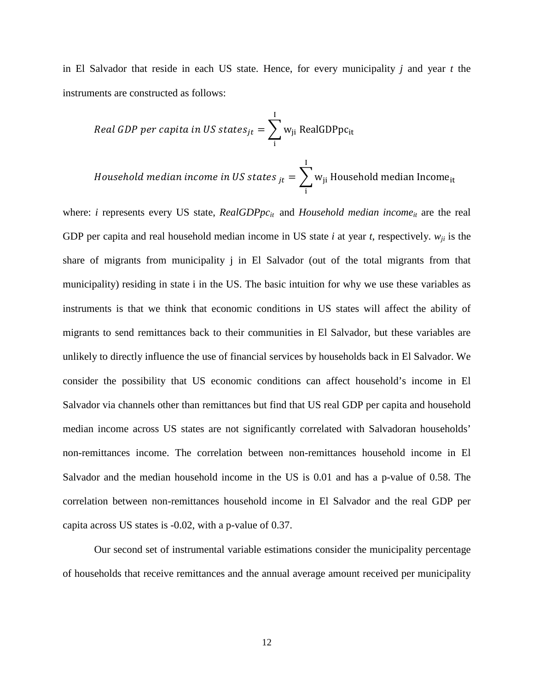in El Salvador that reside in each US state. Hence, for every municipality *j* and year *t* the instruments are constructed as follows:

$$
Real GDP per capita in US states_{jt} = \sum_{i}^{I} w_{ji} Real GDPpc_{it}
$$

*Household median income in US states*  $_{jt}$  $=$  $\, \sum_{j}$   $_{t}$  Household median Income<sub>it</sub>  $\overline{1}$ i

where: *i* represents every US state, *RealGDPpc<sub>it</sub>* and *Household median income<sub>it</sub>* are the real GDP per capita and real household median income in US state *i* at year *t*, respectively.  $w_{ii}$  is the share of migrants from municipality j in El Salvador (out of the total migrants from that municipality) residing in state i in the US. The basic intuition for why we use these variables as instruments is that we think that economic conditions in US states will affect the ability of migrants to send remittances back to their communities in El Salvador, but these variables are unlikely to directly influence the use of financial services by households back in El Salvador. We consider the possibility that US economic conditions can affect household's income in El Salvador via channels other than remittances but find that US real GDP per capita and household median income across US states are not significantly correlated with Salvadoran households' non-remittances income. The correlation between non-remittances household income in El Salvador and the median household income in the US is 0.01 and has a p-value of 0.58. The correlation between non-remittances household income in El Salvador and the real GDP per capita across US states is -0.02, with a p-value of 0.37.

Our second set of instrumental variable estimations consider the municipality percentage of households that receive remittances and the annual average amount received per municipality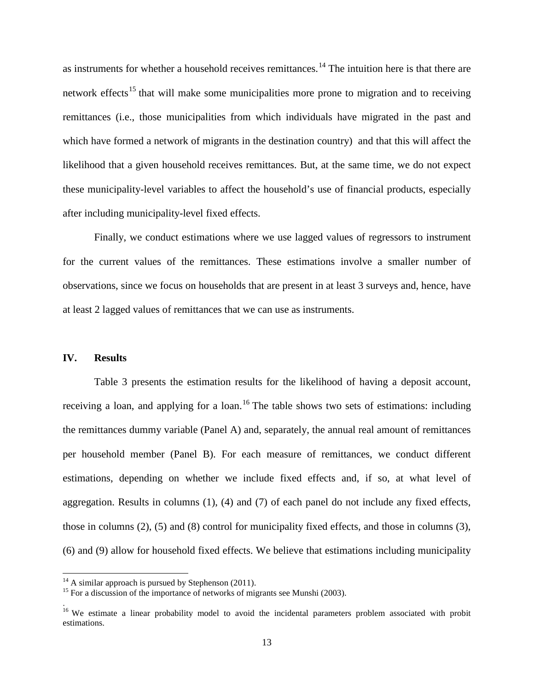as instruments for whether a household receives remittances.<sup>[14](#page-14-0)</sup> The intuition here is that there are network effects<sup>[15](#page-14-1)</sup> that will make some municipalities more prone to migration and to receiving remittances (i.e., those municipalities from which individuals have migrated in the past and which have formed a network of migrants in the destination country) and that this will affect the likelihood that a given household receives remittances. But, at the same time, we do not expect these municipality-level variables to affect the household's use of financial products, especially after including municipality-level fixed effects.

Finally, we conduct estimations where we use lagged values of regressors to instrument for the current values of the remittances. These estimations involve a smaller number of observations, since we focus on households that are present in at least 3 surveys and, hence, have at least 2 lagged values of remittances that we can use as instruments.

#### **IV. Results**

.

Table 3 presents the estimation results for the likelihood of having a deposit account, receiving a loan, and applying for a loan.<sup>[16](#page-14-2)</sup> The table shows two sets of estimations: including the remittances dummy variable (Panel A) and, separately, the annual real amount of remittances per household member (Panel B). For each measure of remittances, we conduct different estimations, depending on whether we include fixed effects and, if so, at what level of aggregation. Results in columns (1), (4) and (7) of each panel do not include any fixed effects, those in columns (2), (5) and (8) control for municipality fixed effects, and those in columns (3), (6) and (9) allow for household fixed effects. We believe that estimations including municipality

<span id="page-14-1"></span>

<span id="page-14-0"></span><sup>&</sup>lt;sup>14</sup> A similar approach is pursued by Stephenson (2011).<br><sup>15</sup> For a discussion of the importance of networks of migrants see Munshi (2003).

<span id="page-14-2"></span><sup>&</sup>lt;sup>16</sup> We estimate a linear probability model to avoid the incidental parameters problem associated with probit estimations.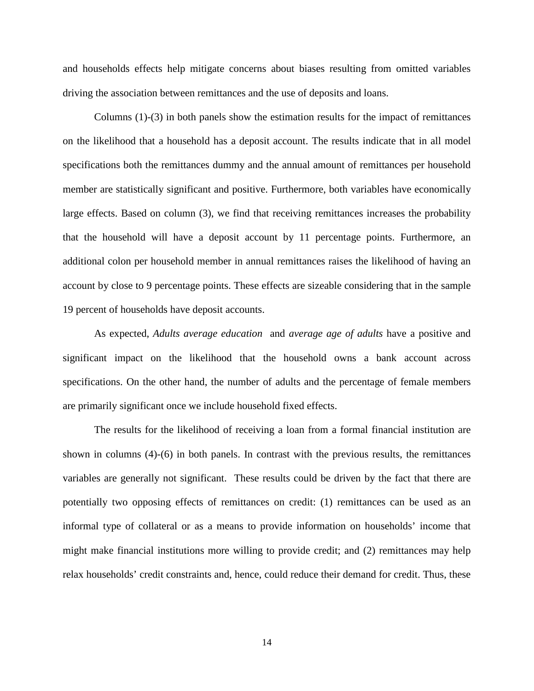and households effects help mitigate concerns about biases resulting from omitted variables driving the association between remittances and the use of deposits and loans.

Columns (1)-(3) in both panels show the estimation results for the impact of remittances on the likelihood that a household has a deposit account. The results indicate that in all model specifications both the remittances dummy and the annual amount of remittances per household member are statistically significant and positive. Furthermore, both variables have economically large effects. Based on column (3), we find that receiving remittances increases the probability that the household will have a deposit account by 11 percentage points. Furthermore, an additional colon per household member in annual remittances raises the likelihood of having an account by close to 9 percentage points. These effects are sizeable considering that in the sample 19 percent of households have deposit accounts.

As expected, *Adults average education* and *average age of adults* have a positive and significant impact on the likelihood that the household owns a bank account across specifications. On the other hand, the number of adults and the percentage of female members are primarily significant once we include household fixed effects.

The results for the likelihood of receiving a loan from a formal financial institution are shown in columns (4)-(6) in both panels. In contrast with the previous results, the remittances variables are generally not significant. These results could be driven by the fact that there are potentially two opposing effects of remittances on credit: (1) remittances can be used as an informal type of collateral or as a means to provide information on households' income that might make financial institutions more willing to provide credit; and (2) remittances may help relax households' credit constraints and, hence, could reduce their demand for credit. Thus, these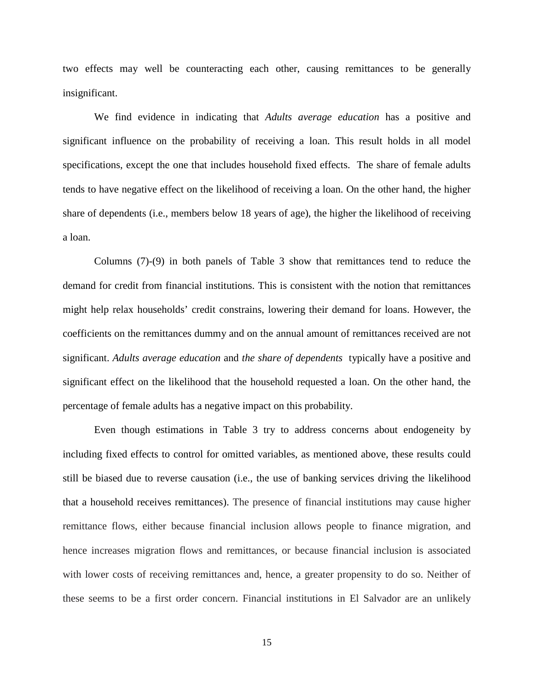two effects may well be counteracting each other, causing remittances to be generally insignificant.

We find evidence in indicating that *Adults average education* has a positive and significant influence on the probability of receiving a loan. This result holds in all model specifications, except the one that includes household fixed effects. The share of female adults tends to have negative effect on the likelihood of receiving a loan. On the other hand, the higher share of dependents (i.e., members below 18 years of age), the higher the likelihood of receiving a loan.

Columns (7)-(9) in both panels of Table 3 show that remittances tend to reduce the demand for credit from financial institutions. This is consistent with the notion that remittances might help relax households' credit constrains, lowering their demand for loans. However, the coefficients on the remittances dummy and on the annual amount of remittances received are not significant. *Adults average education* and *the share of dependents* typically have a positive and significant effect on the likelihood that the household requested a loan. On the other hand, the percentage of female adults has a negative impact on this probability.

Even though estimations in Table 3 try to address concerns about endogeneity by including fixed effects to control for omitted variables, as mentioned above, these results could still be biased due to reverse causation (i.e., the use of banking services driving the likelihood that a household receives remittances). The presence of financial institutions may cause higher remittance flows, either because financial inclusion allows people to finance migration, and hence increases migration flows and remittances, or because financial inclusion is associated with lower costs of receiving remittances and, hence, a greater propensity to do so. Neither of these seems to be a first order concern. Financial institutions in El Salvador are an unlikely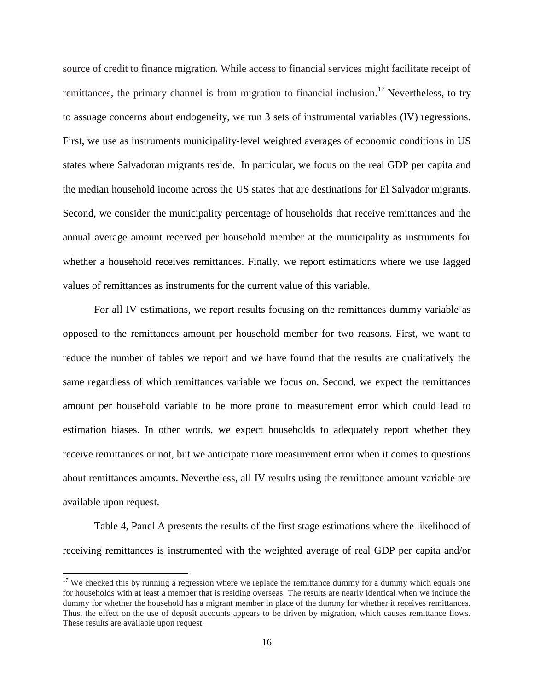source of credit to finance migration. While access to financial services might facilitate receipt of remittances, the primary channel is from migration to financial inclusion.<sup>[17](#page-17-0)</sup> Nevertheless, to try to assuage concerns about endogeneity, we run 3 sets of instrumental variables (IV) regressions. First, we use as instruments municipality-level weighted averages of economic conditions in US states where Salvadoran migrants reside. In particular, we focus on the real GDP per capita and the median household income across the US states that are destinations for El Salvador migrants. Second, we consider the municipality percentage of households that receive remittances and the annual average amount received per household member at the municipality as instruments for whether a household receives remittances. Finally, we report estimations where we use lagged values of remittances as instruments for the current value of this variable.

For all IV estimations, we report results focusing on the remittances dummy variable as opposed to the remittances amount per household member for two reasons. First, we want to reduce the number of tables we report and we have found that the results are qualitatively the same regardless of which remittances variable we focus on. Second, we expect the remittances amount per household variable to be more prone to measurement error which could lead to estimation biases. In other words, we expect households to adequately report whether they receive remittances or not, but we anticipate more measurement error when it comes to questions about remittances amounts. Nevertheless, all IV results using the remittance amount variable are available upon request.

Table 4, Panel A presents the results of the first stage estimations where the likelihood of receiving remittances is instrumented with the weighted average of real GDP per capita and/or

<span id="page-17-0"></span><sup>&</sup>lt;sup>17</sup> We checked this by running a regression where we replace the remittance dummy for a dummy which equals one for households with at least a member that is residing overseas. The results are nearly identical when we include the dummy for whether the household has a migrant member in place of the dummy for whether it receives remittances. Thus, the effect on the use of deposit accounts appears to be driven by migration, which causes remittance flows. These results are available upon request.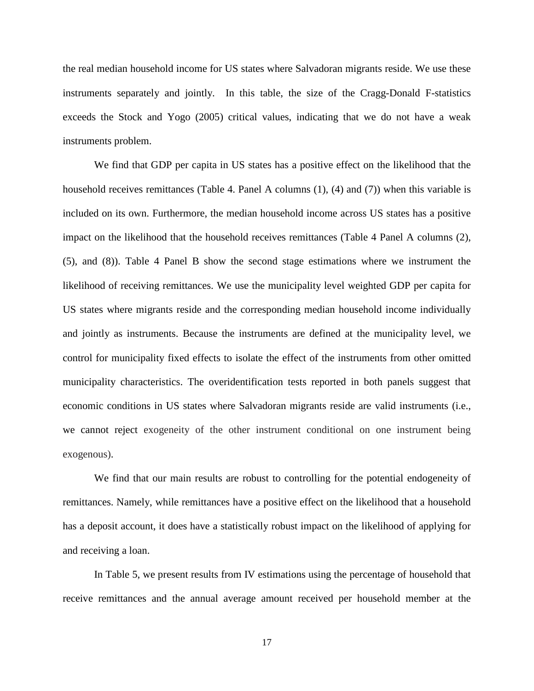the real median household income for US states where Salvadoran migrants reside. We use these instruments separately and jointly. In this table, the size of the Cragg-Donald F-statistics exceeds the Stock and Yogo (2005) critical values, indicating that we do not have a weak instruments problem.

We find that GDP per capita in US states has a positive effect on the likelihood that the household receives remittances (Table 4. Panel A columns (1), (4) and (7)) when this variable is included on its own. Furthermore, the median household income across US states has a positive impact on the likelihood that the household receives remittances (Table 4 Panel A columns (2), (5), and (8)). Table 4 Panel B show the second stage estimations where we instrument the likelihood of receiving remittances. We use the municipality level weighted GDP per capita for US states where migrants reside and the corresponding median household income individually and jointly as instruments. Because the instruments are defined at the municipality level, we control for municipality fixed effects to isolate the effect of the instruments from other omitted municipality characteristics. The overidentification tests reported in both panels suggest that economic conditions in US states where Salvadoran migrants reside are valid instruments (i.e., we cannot reject exogeneity of the other instrument conditional on one instrument being exogenous).

We find that our main results are robust to controlling for the potential endogeneity of remittances. Namely, while remittances have a positive effect on the likelihood that a household has a deposit account, it does have a statistically robust impact on the likelihood of applying for and receiving a loan.

In Table 5, we present results from IV estimations using the percentage of household that receive remittances and the annual average amount received per household member at the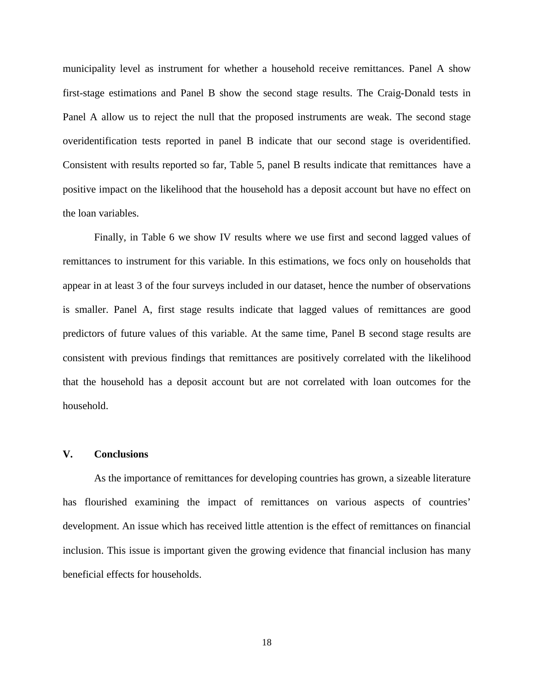municipality level as instrument for whether a household receive remittances. Panel A show first-stage estimations and Panel B show the second stage results. The Craig-Donald tests in Panel A allow us to reject the null that the proposed instruments are weak. The second stage overidentification tests reported in panel B indicate that our second stage is overidentified. Consistent with results reported so far, Table 5, panel B results indicate that remittances have a positive impact on the likelihood that the household has a deposit account but have no effect on the loan variables.

Finally, in Table 6 we show IV results where we use first and second lagged values of remittances to instrument for this variable. In this estimations, we focs only on households that appear in at least 3 of the four surveys included in our dataset, hence the number of observations is smaller. Panel A, first stage results indicate that lagged values of remittances are good predictors of future values of this variable. At the same time, Panel B second stage results are consistent with previous findings that remittances are positively correlated with the likelihood that the household has a deposit account but are not correlated with loan outcomes for the household.

#### **V. Conclusions**

As the importance of remittances for developing countries has grown, a sizeable literature has flourished examining the impact of remittances on various aspects of countries' development. An issue which has received little attention is the effect of remittances on financial inclusion. This issue is important given the growing evidence that financial inclusion has many beneficial effects for households.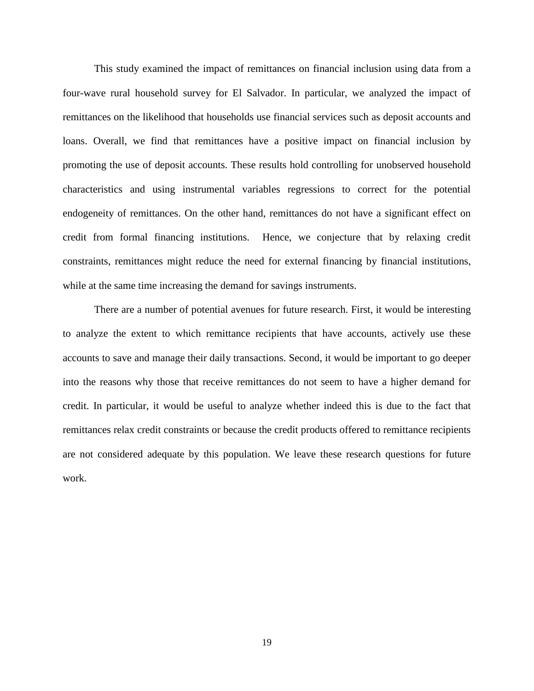This study examined the impact of remittances on financial inclusion using data from a four-wave rural household survey for El Salvador. In particular, we analyzed the impact of remittances on the likelihood that households use financial services such as deposit accounts and loans. Overall, we find that remittances have a positive impact on financial inclusion by promoting the use of deposit accounts. These results hold controlling for unobserved household characteristics and using instrumental variables regressions to correct for the potential endogeneity of remittances. On the other hand, remittances do not have a significant effect on credit from formal financing institutions. Hence, we conjecture that by relaxing credit constraints, remittances might reduce the need for external financing by financial institutions, while at the same time increasing the demand for savings instruments.

There are a number of potential avenues for future research. First, it would be interesting to analyze the extent to which remittance recipients that have accounts, actively use these accounts to save and manage their daily transactions. Second, it would be important to go deeper into the reasons why those that receive remittances do not seem to have a higher demand for credit. In particular, it would be useful to analyze whether indeed this is due to the fact that remittances relax credit constraints or because the credit products offered to remittance recipients are not considered adequate by this population. We leave these research questions for future work.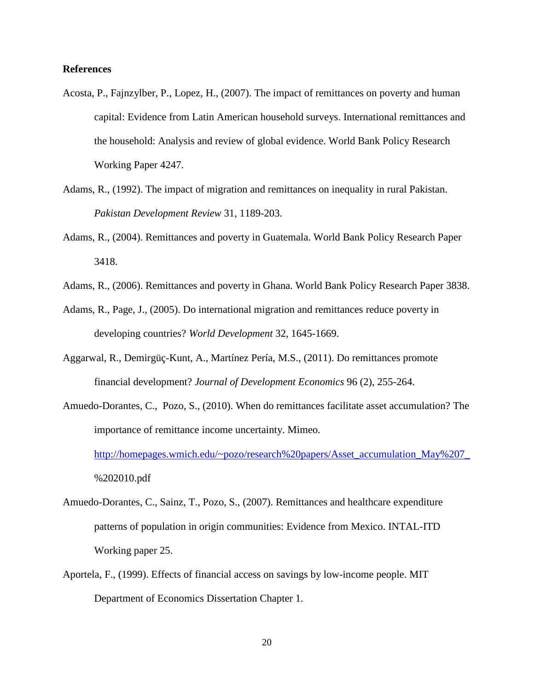## **References**

- Acosta, P., Fajnzylber, P., Lopez, H., (2007). The impact of remittances on poverty and human capital: Evidence from Latin American household surveys. International remittances and the household: Analysis and review of global evidence. World Bank Policy Research Working Paper 4247.
- Adams, R., (1992). The impact of migration and remittances on inequality in rural Pakistan. *Pakistan Development Review* 31, 1189-203.
- Adams, R., (2004). Remittances and poverty in Guatemala. World Bank Policy Research Paper 3418.
- Adams, R., (2006). Remittances and poverty in Ghana. World Bank Policy Research Paper 3838.
- Adams, R., Page, J., (2005). Do international migration and remittances reduce poverty in developing countries? *World Development* 32, 1645-1669.
- Aggarwal, R., Demirgüç-Kunt, A., Martínez Pería, M.S., (2011). Do remittances promote financial development? *Journal of Development Economics* 96 (2), 255-264.
- Amuedo-Dorantes, C., Pozo, S., (2010). When do remittances facilitate asset accumulation? The importance of remittance income uncertainty. Mimeo.

[http://homepages.wmich.edu/~pozo/research%20papers/Asset\\_accumulation\\_May%207\\_](http://homepages.wmich.edu/~pozo/research%20papers/Asset_accumulation_May%207_) %202010.pdf

- Amuedo-Dorantes, C., Sainz, T., Pozo, S., (2007). Remittances and healthcare expenditure patterns of population in origin communities: Evidence from Mexico. INTAL-ITD Working paper 25.
- Aportela, F., (1999). Effects of financial access on savings by low-income people. MIT Department of Economics Dissertation Chapter 1.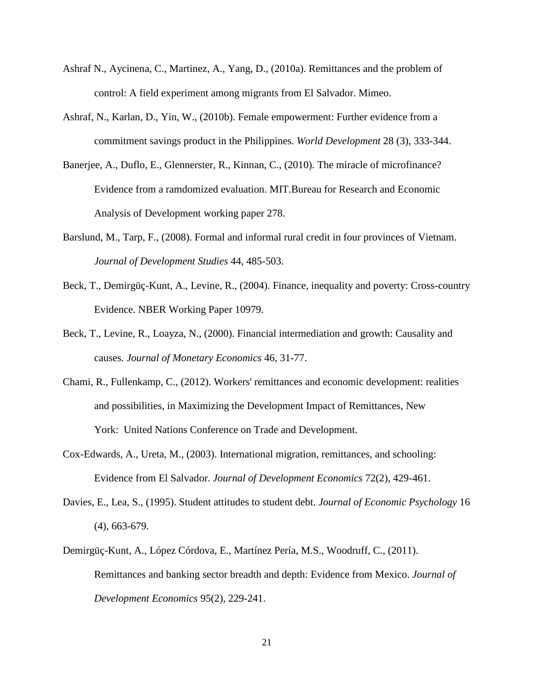- Ashraf N., Aycinena, C., Martinez, A., Yang, D., (2010a). Remittances and the problem of control: A field experiment among migrants from El Salvador. Mimeo.
- Ashraf, N., Karlan, D., Yin, W., (2010b). Female empowerment: Further evidence from a commitment savings product in the Philippines. *World Development* 28 (3), 333-344.
- Banerjee, A., Duflo, E., Glennerster, R., Kinnan, C., (2010). The miracle of microfinance? Evidence from a ramdomized evaluation. MIT.Bureau for Research and Economic Analysis of Development working paper 278.
- Barslund, M., Tarp, F., (2008). Formal and informal rural credit in four provinces of Vietnam. *Journal of Development Studies* 44, 485-503.
- Beck, T., Demirgüç-Kunt, A., Levine, R., (2004). Finance, inequality and poverty: Cross-country Evidence. NBER Working Paper 10979.
- Beck, T., Levine, R., Loayza, N., (2000). Financial intermediation and growth: Causality and causes. *Journal of Monetary Economics* 46, 31-77.
- Chami, R., Fullenkamp, C., (2012). Workers' remittances and economic development: realities and possibilities, in Maximizing the Development Impact of Remittances, New York: United Nations Conference on Trade and Development.
- Cox-Edwards, A., Ureta, M., (2003). International migration, remittances, and schooling: Evidence from El Salvador. *Journal of Development Economics* 72(2), 429-461.
- Davies, E., Lea, S., (1995). Student attitudes to student debt. *Journal of Economic Psychology* 16 (4), 663-679.
- Demirgüç-Kunt, A., López Córdova, E., Martínez Pería, M.S., Woodruff, C., (2011). Remittances and banking sector breadth and depth: Evidence from Mexico. *Journal of Development Economics* 95(2), 229-241.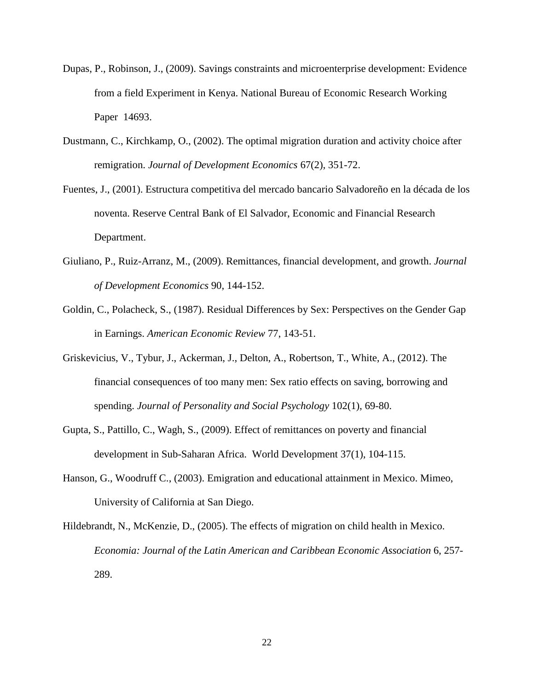- Dupas, P., Robinson, J., (2009). Savings constraints and microenterprise development: Evidence from a field Experiment in Kenya. National Bureau of Economic Research Working Paper 14693.
- Dustmann, C., Kirchkamp, O., (2002). The optimal migration duration and activity choice after remigration. *Journal of Development Economics* 67(2), 351-72.
- Fuentes, J., (2001). Estructura competitiva del mercado bancario Salvadoreño en la década de los noventa. Reserve Central Bank of El Salvador, Economic and Financial Research Department.
- Giuliano, P., Ruiz-Arranz, M., (2009). Remittances, financial development, and growth. *Journal of Development Economics* 90, 144-152.
- Goldin, C., Polacheck, S., (1987). Residual Differences by Sex: Perspectives on the Gender Gap in Earnings. *American Economic Review* 77, 143-51.
- Griskevicius, V., Tybur, J., Ackerman, J., Delton, A., Robertson, T., White, A., (2012). The financial consequences of too many men: Sex ratio effects on saving, borrowing and spending. *Journal of Personality and Social Psychology* 102(1), 69-80.
- Gupta, S., Pattillo, C., Wagh, S., (2009). Effect of remittances on poverty and financial development in Sub-Saharan Africa. World Development 37(1), 104-115.
- Hanson, G., Woodruff C., (2003). Emigration and educational attainment in Mexico. Mimeo, University of California at San Diego.
- Hildebrandt, N., McKenzie, D., (2005). The effects of migration on child health in Mexico. *Economia: Journal of the Latin American and Caribbean Economic Association* 6, 257- 289.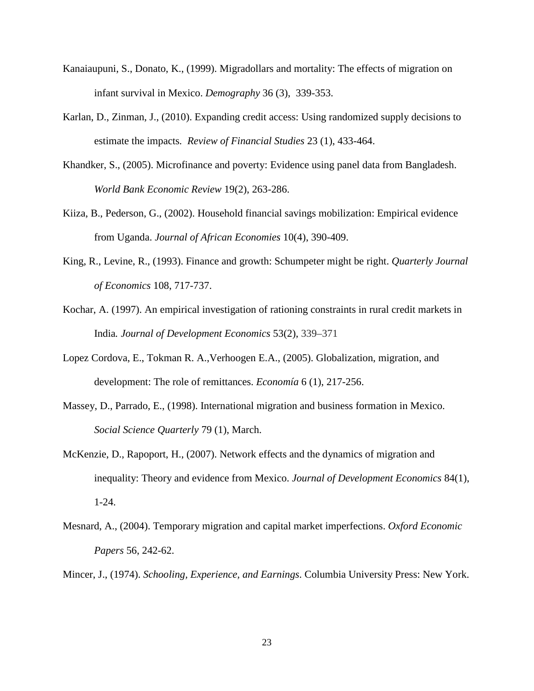- Kanaiaupuni, S., Donato, K., (1999). Migradollars and mortality: The effects of migration on infant survival in Mexico. *Demography* 36 (3), 339-353.
- Karlan, D., Zinman, J., (2010). Expanding credit access: Using randomized supply decisions to estimate the impacts*. Review of Financial Studies* 23 (1), 433-464.
- Khandker, S., (2005). Microfinance and poverty: Evidence using panel data from Bangladesh. *World Bank Economic Review* 19(2), 263-286.
- Kiiza, B., Pederson, G., (2002). Household financial savings mobilization: Empirical evidence from Uganda. *Journal of African Economies* 10(4), 390-409.
- King, R., Levine, R., (1993). Finance and growth: Schumpeter might be right. *Quarterly Journal of Economics* 108, 717-737.
- Kochar, A. (1997). An empirical investigation of rationing constraints in rural credit markets in India*. Journal of Development Economics* 53(2), 339–371
- Lopez Cordova, E., Tokman R. A.,Verhoogen E.A., (2005). Globalization, migration, and development: The role of remittances. *Economía* 6 (1), 217-256.
- Massey, D., Parrado, E., (1998). International migration and business formation in Mexico. *Social Science Quarterly* 79 (1), March.
- McKenzie, D., Rapoport, H., (2007). Network effects and the dynamics of migration and inequality: Theory and evidence from Mexico. *Journal of Development Economics* 84(1), 1-24.
- Mesnard, A., (2004). Temporary migration and capital market imperfections. *Oxford Economic Papers* 56, 242-62.

Mincer, J., (1974). *Schooling, Experience, and Earnings*. Columbia University Press: New York.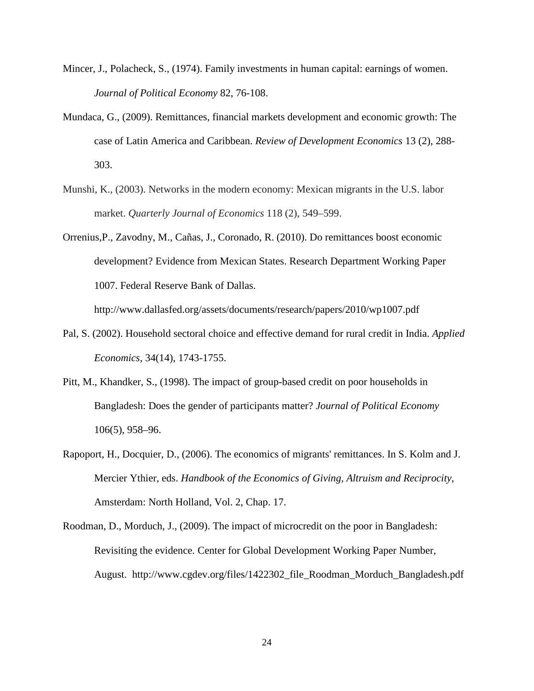- Mincer, J., Polacheck, S., (1974). Family investments in human capital: earnings of women. *Journal of Political Economy* 82, 76-108.
- Mundaca, G., (2009). Remittances, financial markets development and economic growth: The case of Latin America and Caribbean. *Review of Development Economics* 13 (2), 288- 303.
- Munshi, K., (2003). Networks in the modern economy: Mexican migrants in the U.S. labor market. *Quarterly Journal of Economics* 118 (2), 549–599.
- Orrenius,P., Zavodny, M., Cañas, J., Coronado, R. (2010). Do remittances boost economic development? Evidence from Mexican States. Research Department Working Paper 1007. Federal Reserve Bank of Dallas.

http://www.dallasfed.org/assets/documents/research/papers/2010/wp1007.pdf

- Pal, S. (2002). Household sectoral choice and effective demand for rural credit in India. *Applied Economics*, 34(14), 1743-1755.
- Pitt, M., Khandker, S., (1998). The impact of group-based credit on poor households in Bangladesh: Does the gender of participants matter? *Journal of Political Economy*  106(5), 958–96.
- Rapoport, H., Docquier, D., (2006). The economics of migrants' remittances. In S. Kolm and J. Mercier Ythier, eds. *Handbook of the Economics of Giving, Altruism and Reciprocity*, Amsterdam: North Holland, Vol. 2, Chap. 17.
- Roodman, D., Morduch, J., (2009). The impact of microcredit on the poor in Bangladesh: Revisiting the evidence. Center for Global Development Working Paper Number, August. http://www.cgdev.org/files/1422302\_file\_Roodman\_Morduch\_Bangladesh.pdf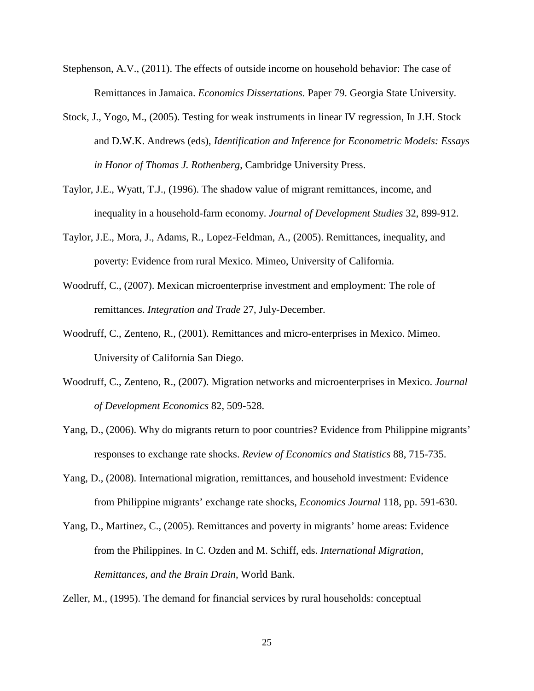- Stephenson, A.V., (2011). The effects of outside income on household behavior: The case of Remittances in Jamaica. *Economics Dissertations.* Paper 79. Georgia State University.
- Stock, J., Yogo, M., (2005). Testing for weak instruments in linear IV regression, In J.H. Stock and D.W.K. Andrews (eds), *Identification and Inference for Econometric Models: Essays in Honor of Thomas J. Rothenberg*, Cambridge University Press.
- Taylor, J.E., Wyatt, T.J., (1996). The shadow value of migrant remittances, income, and inequality in a household-farm economy. *Journal of Development Studies* 32, 899-912.
- Taylor, J.E., Mora, J., Adams, R., Lopez-Feldman, A., (2005). Remittances, inequality, and poverty: Evidence from rural Mexico. Mimeo, University of California.
- Woodruff, C., (2007). Mexican microenterprise investment and employment: The role of remittances. *Integration and Trade* 27, July-December.
- Woodruff, C., Zenteno, R., (2001). Remittances and micro-enterprises in Mexico. Mimeo. University of California San Diego.
- Woodruff, C., Zenteno, R., (2007). Migration networks and microenterprises in Mexico. *Journal of Development Economics* 82, 509-528.
- Yang, D., (2006). Why do migrants return to poor countries? Evidence from Philippine migrants' responses to exchange rate shocks. *Review of Economics and Statistics* 88, 715-735.
- Yang, D., (2008). International migration, remittances, and household investment: Evidence from Philippine migrants' exchange rate shocks, *Economics Journal* 118, pp. 591-630.
- Yang, D., Martinez, C., (2005). Remittances and poverty in migrants' home areas: Evidence from the Philippines. In C. Ozden and M. Schiff, eds. *International Migration, Remittances, and the Brain Drain*, World Bank.

Zeller, M., (1995). The demand for financial services by rural households: conceptual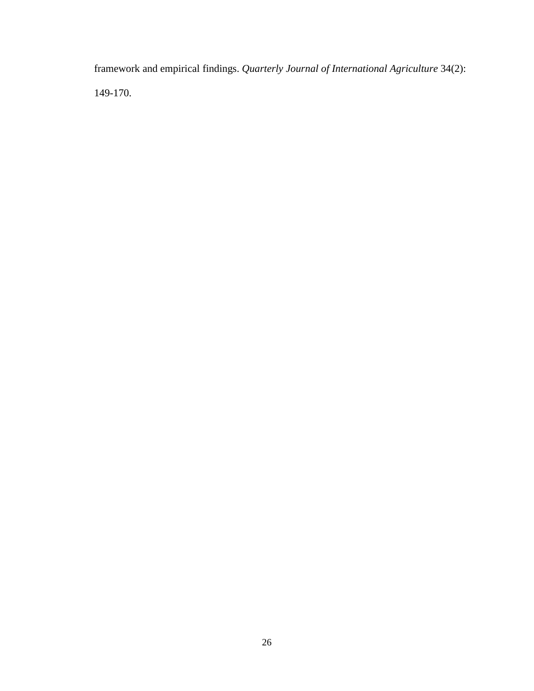framework and empirical findings. *Quarterly Journal of International Agriculture* 34(2): 149-170.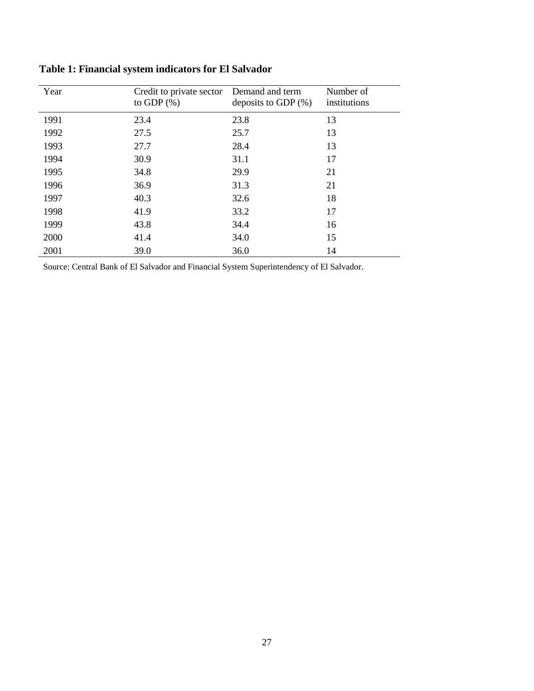| Year | Credit to private sector<br>to GDP $(\%)$ | Demand and term<br>deposits to GDP $(\%)$ | Number of<br>institutions |
|------|-------------------------------------------|-------------------------------------------|---------------------------|
| 1991 | 23.4                                      | 23.8                                      | 13                        |
| 1992 | 27.5                                      | 25.7                                      | 13                        |
| 1993 | 27.7                                      | 28.4                                      | 13                        |
| 1994 | 30.9                                      | 31.1                                      | 17                        |
| 1995 | 34.8                                      | 29.9                                      | 21                        |
| 1996 | 36.9                                      | 31.3                                      | 21                        |
| 1997 | 40.3                                      | 32.6                                      | 18                        |
| 1998 | 41.9                                      | 33.2                                      | 17                        |
| 1999 | 43.8                                      | 34.4                                      | 16                        |
| 2000 | 41.4                                      | 34.0                                      | 15                        |
| 2001 | 39.0                                      | 36.0                                      | 14                        |

**Table 1: Financial system indicators for El Salvador**

Source: Central Bank of El Salvador and Financial System Superintendency of El Salvador.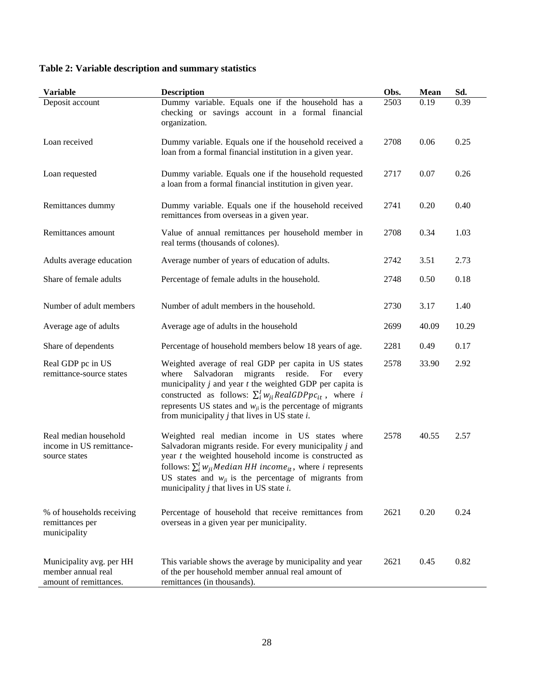| Table 2: Variable description and summary statistics |  |
|------------------------------------------------------|--|
|------------------------------------------------------|--|

| <b>Variable</b>                                                          | <b>Description</b>                                                                                                                                                                                                                                                                                                                                                                        | Obs. | <b>Mean</b> | Sd.   |
|--------------------------------------------------------------------------|-------------------------------------------------------------------------------------------------------------------------------------------------------------------------------------------------------------------------------------------------------------------------------------------------------------------------------------------------------------------------------------------|------|-------------|-------|
| Deposit account                                                          | Dummy variable. Equals one if the household has a<br>checking or savings account in a formal financial<br>organization.                                                                                                                                                                                                                                                                   | 2503 | 0.19        | 0.39  |
| Loan received                                                            | Dummy variable. Equals one if the household received a<br>loan from a formal financial institution in a given year.                                                                                                                                                                                                                                                                       | 2708 | 0.06        | 0.25  |
| Loan requested                                                           | Dummy variable. Equals one if the household requested<br>a loan from a formal financial institution in given year.                                                                                                                                                                                                                                                                        | 2717 | 0.07        | 0.26  |
| Remittances dummy                                                        | Dummy variable. Equals one if the household received<br>remittances from overseas in a given year.                                                                                                                                                                                                                                                                                        | 2741 | 0.20        | 0.40  |
| Remittances amount                                                       | Value of annual remittances per household member in<br>real terms (thousands of colones).                                                                                                                                                                                                                                                                                                 | 2708 | 0.34        | 1.03  |
| Adults average education                                                 | Average number of years of education of adults.                                                                                                                                                                                                                                                                                                                                           | 2742 | 3.51        | 2.73  |
| Share of female adults                                                   | Percentage of female adults in the household.                                                                                                                                                                                                                                                                                                                                             | 2748 | 0.50        | 0.18  |
| Number of adult members                                                  | Number of adult members in the household.                                                                                                                                                                                                                                                                                                                                                 | 2730 | 3.17        | 1.40  |
| Average age of adults                                                    | Average age of adults in the household                                                                                                                                                                                                                                                                                                                                                    | 2699 | 40.09       | 10.29 |
| Share of dependents                                                      | Percentage of household members below 18 years of age.                                                                                                                                                                                                                                                                                                                                    | 2281 | 0.49        | 0.17  |
| Real GDP pc in US<br>remittance-source states                            | Weighted average of real GDP per capita in US states<br>migrants reside. For every<br>Salvadoran<br>where<br>municipality $j$ and year $t$ the weighted GDP per capita is<br>constructed as follows: $\sum_{i}^{I} w_{ii} Real GDPpc_{it}$ , where i<br>represents US states and $w_{ji}$ is the percentage of migrants<br>from municipality $j$ that lives in US state $i$ .             | 2578 | 33.90       | 2.92  |
| Real median household<br>income in US remittance-<br>source states       | Weighted real median income in US states where<br>Salvadoran migrants reside. For every municipality $j$ and<br>year $t$ the weighted household income is constructed as<br>follows: $\sum_{i}^{I} w_{ii}$ <i>Median HH income<sub>it</sub></i> , where <i>i</i> represents<br>US states and $w_{ji}$ is the percentage of migrants from<br>municipality $j$ that lives in US state $i$ . | 2578 | 40.55       | 2.57  |
| % of households receiving<br>remittances per<br>municipality             | Percentage of household that receive remittances from<br>overseas in a given year per municipality.                                                                                                                                                                                                                                                                                       | 2621 | 0.20        | 0.24  |
| Municipality avg. per HH<br>member annual real<br>amount of remittances. | This variable shows the average by municipality and year<br>of the per household member annual real amount of<br>remittances (in thousands).                                                                                                                                                                                                                                              | 2621 | 0.45        | 0.82  |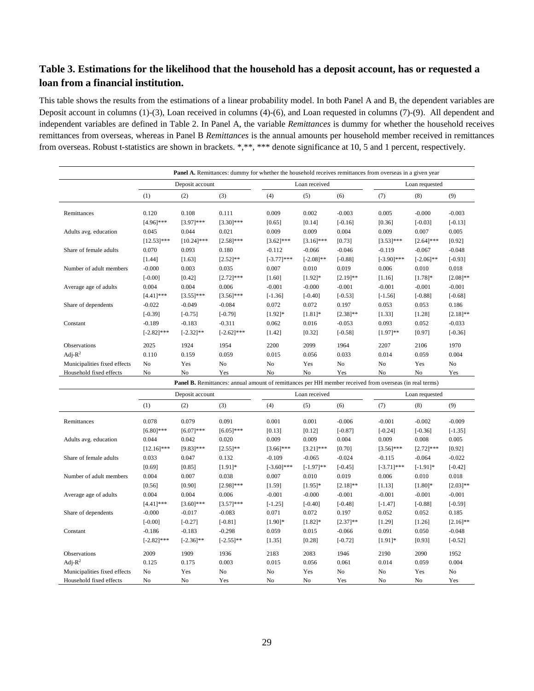# **Table 3. Estimations for the likelihood that the household has a deposit account, has or requested a loan from a financial institution.**

This table shows the results from the estimations of a linear probability model. In both Panel A and B, the dependent variables are Deposit account in columns (1)-(3), Loan received in columns (4)-(6), and Loan requested in columns (7)-(9). All dependent and independent variables are defined in Table 2. In Panel A, the variable *Remittances* is dummy for whether the household receives remittances from overseas, whereas in Panel B *Remittances* is the annual amounts per household member received in remittances from overseas. Robust t-statistics are shown in brackets. \*,\*\*, \*\*\* denote significance at 10, 5 and 1 percent, respectively.

| <b>Panel A.</b> Remittances: dummy for whether the household receives remittances from overseas in a given year |                |                 |                                                                                                                |                |                |                |                |                |                |  |
|-----------------------------------------------------------------------------------------------------------------|----------------|-----------------|----------------------------------------------------------------------------------------------------------------|----------------|----------------|----------------|----------------|----------------|----------------|--|
|                                                                                                                 |                | Deposit account |                                                                                                                |                | Loan received  |                |                | Loan requested |                |  |
|                                                                                                                 | (1)            | (2)             | (3)                                                                                                            | (4)            | (5)            | (6)            | (7)            | (8)            | (9)            |  |
| Remittances                                                                                                     | 0.120          | 0.108           | 0.111                                                                                                          | 0.009          | 0.002          | $-0.003$       | 0.005          | $-0.000$       | $-0.003$       |  |
|                                                                                                                 | $[4.96]$ ***   | $[3.97]$ ***    | $[3.30]$ ***                                                                                                   | [0.65]         | [0.14]         | $[-0.16]$      | [0.36]         | $[-0.03]$      | $[-0.13]$      |  |
| Adults avg. education                                                                                           | 0.045          | 0.044           | 0.021                                                                                                          | 0.009          | 0.009          | 0.004          | 0.009          | 0.007          | 0.005          |  |
|                                                                                                                 | $[12.53]$ ***  | $[10.24]$ ***   | $[2.58]$ ***                                                                                                   | $[3.62]$ ***   | $[3.16]$ ***   | [0.73]         | $[3.53]***$    | $[2.64]$ ***   | [0.92]         |  |
| Share of female adults                                                                                          | 0.070          | 0.093           | 0.180                                                                                                          | $-0.112$       | $-0.066$       | $-0.046$       | $-0.119$       | $-0.067$       | $-0.048$       |  |
|                                                                                                                 | [1.44]         | [1.63]          | $[2.52]$ **                                                                                                    | $[-3.77]$ ***  | $[-2.08]$ **   | $[-0.88]$      | $[-3.90]$ ***  | $[-2.06]$ **   | $[-0.93]$      |  |
| Number of adult members                                                                                         | $-0.000$       | 0.003           | 0.035                                                                                                          | 0.007          | 0.010          | 0.019          | 0.006          | 0.010          | 0.018          |  |
|                                                                                                                 | $[-0.00]$      | [0.42]          | $[2.72]$ ***                                                                                                   | [1.60]         | $[1.92]*$      | $[2.19]$ **    | [1.16]         | $[1.78]$ *     | $[2.08]$ **    |  |
| Average age of adults                                                                                           | 0.004          | 0.004           | 0.006                                                                                                          | $-0.001$       | $-0.000$       | $-0.001$       | $-0.001$       | $-0.001$       | $-0.001$       |  |
|                                                                                                                 | $[4.41]$ ***   | $[3.55]$ ***    | $[3.56]$ ***                                                                                                   | $[-1.36]$      | $[-0.40]$      | $[-0.53]$      | $[-1.56]$      | $[-0.88]$      | $[-0.68]$      |  |
| Share of dependents                                                                                             | $-0.022$       | $-0.049$        | $-0.084$                                                                                                       | 0.072          | 0.072          | 0.197          | 0.053          | 0.053          | 0.186          |  |
|                                                                                                                 | $[-0.39]$      | $[-0.75]$       | $[-0.79]$                                                                                                      | $[1.92]$ *     | $[1.81]*$      | $[2.38]$ **    | [1.33]         | [1.28]         | $[2.18]$ **    |  |
| Constant                                                                                                        | $-0.189$       | $-0.183$        | $-0.311$                                                                                                       | 0.062          | 0.016          | $-0.053$       | 0.093          | 0.052          | $-0.033$       |  |
|                                                                                                                 | $[-2.82]$ ***  | $[-2.32]$ **    | $[-2.62]$ ***                                                                                                  | [1.42]         | [0.32]         | $[-0.58]$      | $[1.97]**$     | [0.97]         | $[-0.36]$      |  |
| <b>Observations</b>                                                                                             | 2025           | 1924            | 1954                                                                                                           | 2200           | 2099           | 1964           | 2207           | 2106           | 1970           |  |
| Adj- $R^2$                                                                                                      | 0.110          | 0.159           | 0.059                                                                                                          | 0.015          | 0.056          | 0.033          | 0.014          | 0.059          | 0.004          |  |
| Municipalities fixed effects                                                                                    | N <sub>0</sub> | Yes             | N <sub>0</sub>                                                                                                 | N <sub>0</sub> | Yes            | N <sub>0</sub> | N <sub>o</sub> | Yes            | N <sub>o</sub> |  |
| Household fixed effects                                                                                         | N <sub>0</sub> | N <sub>o</sub>  | Yes                                                                                                            | N <sub>o</sub> | N <sub>o</sub> | Yes            | N <sub>o</sub> | N <sub>o</sub> | Yes            |  |
|                                                                                                                 |                |                 | <b>Panel B.</b> Remittances: annual amount of remittances per HH member received from overseas (in real terms) |                |                |                |                |                |                |  |

|                              | Deposit account |              |                |                | Loan received |               | Loan requested |              |               |
|------------------------------|-----------------|--------------|----------------|----------------|---------------|---------------|----------------|--------------|---------------|
|                              | (1)             | (2)          | (3)            | (4)            | (5)           | (6)           | (7)            | (8)          | (9)           |
| Remittances                  | 0.078           | 0.079        | 0.091          | 0.001          | 0.001         | $-0.006$      | $-0.001$       | $-0.002$     | $-0.009$      |
|                              | $[6.80]$ ***    | $[6.07]$ *** | $[6.05]$ ***   | [0.13]         | [0.12]        | $[-0.87]$     | $[-0.24]$      | $[-0.36]$    | $[-1.35]$     |
| Adults avg. education        | 0.044           | 0.042        | 0.020          | 0.009          | 0.009         | 0.004         | 0.009          | 0.008        | 0.005         |
|                              | $[12.16]$ ***   | $[9.83]$ *** | $[2.55]$ **    | $[3.66]$ ***   | $[3.21]$ ***  | [0.70]        | $[3.56]$ ***   | $[2.72]$ *** | [0.92]        |
| Share of female adults       | 0.033           | 0.047        | 0.132          | $-0.109$       | $-0.065$      | $-0.024$      | $-0.115$       | $-0.064$     | $-0.022$      |
|                              | [0.69]          | [0.85]       | $[1.91]$ *     | $[-3.60]$ ***  | $[-1.97]$ **  | $[-0.45]$     | $[-3.71]$ ***  | $[-1.91]$ *  | $[-0.42]$     |
| Number of adult members      | 0.004           | 0.007        | 0.038          | 0.007          | 0.010         | 0.019         | 0.006          | 0.010        | 0.018         |
|                              | [0.56]          | [0.90]       | $[2.98]$ ***   | [1.59]         | $[1.95]$ *    | $[2.18]$ **   | [1.13]         | $[1.80]$ *   | $[2.03]^{**}$ |
| Average age of adults        | 0.004           | 0.004        | 0.006          | $-0.001$       | $-0.000$      | $-0.001$      | $-0.001$       | $-0.001$     | $-0.001$      |
|                              | $[4.41]$ ***    | $[3.60]$ *** | $[3.57]$ ***   | $[-1.25]$      | $[-0.40]$     | $[-0.48]$     | $[-1.47]$      | $[-0.88]$    | $[-0.59]$     |
| Share of dependents          | $-0.000$        | $-0.017$     | $-0.083$       | 0.071          | 0.072         | 0.197         | 0.052          | 0.052        | 0.185         |
|                              | $[-0.00]$       | $[-0.27]$    | $[-0.81]$      | $[1.90]$ *     | $[1.82]$ *    | $[2.37]^{**}$ | [1.29]         | [1.26]       | $[2.16]$ **   |
| Constant                     | $-0.186$        | $-0.183$     | $-0.298$       | 0.059          | 0.015         | $-0.066$      | 0.091          | 0.050        | $-0.048$      |
|                              | $[-2.82]$ ***   | $[-2.36]$ ** | $[-2.55]$ **   | [1.35]         | [0.28]        | $[-0.72]$     | $[1.91]$ *     | [0.93]       | $[-0.52]$     |
| <b>Observations</b>          | 2009            | 1909         | 1936           | 2183           | 2083          | 1946          | 2190           | 2090         | 1952          |
| Adj- $R^2$                   | 0.125           | 0.175        | 0.003          | 0.015          | 0.056         | 0.061         | 0.014          | 0.059        | 0.004         |
| Municipalities fixed effects | No              | Yes          | N <sub>0</sub> | N <sub>o</sub> | Yes           | No.           | No             | Yes          | No            |
| Household fixed effects      | No              | No           | Yes            | N <sub>0</sub> | No            | Yes           | N <sub>0</sub> | No           | Yes           |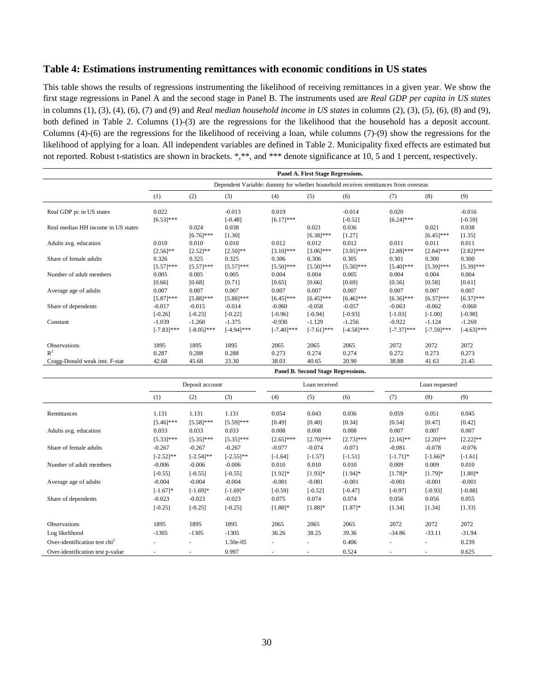#### **Table 4: Estimations instrumenting remittances with economic conditions in US states**

This table shows the results of regressions instrumenting the likelihood of receiving remittances in a given year. We show the first stage regressions in Panel A and the second stage in Panel B. The instruments used are *Real GDP per capita in US states* in columns (1), (3), (4), (6), (7) and (9) and *Real median household income in US states* in columns (2), (3), (5), (6), (8) and (9), both defined in Table 2. Columns (1)-(3) are the regressions for the likelihood that the household has a deposit account. Columns (4)-(6) are the regressions for the likelihood of receiving a loan, while columns (7)-(9) show the regressions for the likelihood of applying for a loan. All independent variables are defined in Table 2. Municipality fixed effects are estimated but not reported. Robust t-statistics are shown in brackets. \*,\*\*, and \*\*\* denote significance at 10, 5 and 1 percent, respectively.

|                                    | Panel A. First Stage Regressions.                                                  |               |               |               |               |               |               |               |               |  |  |
|------------------------------------|------------------------------------------------------------------------------------|---------------|---------------|---------------|---------------|---------------|---------------|---------------|---------------|--|--|
|                                    | Dependent Variable: dummy for whether household receives remittances from overseas |               |               |               |               |               |               |               |               |  |  |
|                                    | (1)                                                                                | (2)           | (3)           | (4)           | (5)           | (6)           | (7)           | (8)           | (9)           |  |  |
| Real GDP pc in US states           | 0.022                                                                              |               | $-0.013$      | 0.019         |               | $-0.014$      | 0.020         |               | $-0.016$      |  |  |
|                                    | $[6.53]$ ***                                                                       |               | $[-0.48]$     | $[6.17]***$   |               | $[-0.52]$     | $[6.24]$ ***  |               | $[-0.59]$     |  |  |
| Real median HH income in US states |                                                                                    | 0.024         | 0.038         |               | 0.021         | 0.036         |               | 0.021         | 0.038         |  |  |
|                                    |                                                                                    | $[6.76]$ ***  | [1.30]        |               | $[6.38]$ ***  | [1.27]        |               | $[6.45]$ ***  | [1.35]        |  |  |
| Adults avg. education              | 0.010                                                                              | 0.010         | 0.010         | 0.012         | 0.012         | 0.012         | 0.011         | 0.011         | 0.011         |  |  |
|                                    | $[2.56]$ **                                                                        | $[2.52]$ **   | $[2.50]$ **   | $[3.10]$ ***  | $[3.06]$ ***  | $[3.05]$ ***  | $[2.88]$ ***  | $[2.84]$ ***  | $[2.82]$ ***  |  |  |
| Share of female adults             | 0.326                                                                              | 0.325         | 0.325         | 0.306         | 0.306         | 0.305         | 0.301         | 0.300         | 0.300         |  |  |
|                                    | $[5.57]$ ***                                                                       | $[5.57]$ ***  | $[5.57]$ ***  | $[5.50]$ ***  | $[5.50]$ ***  | $[5.50]$ ***  | $[5.40]$ ***  | $[5.39]***$   | $[5.39]$ ***  |  |  |
| Number of adult members            | 0.005                                                                              | 0.005         | 0.005         | 0.004         | 0.004         | 0.005         | 0.004         | 0.004         | 0.004         |  |  |
|                                    | [0.66]                                                                             | [0.68]        | [0.71]        | [0.65]        | [0.66]        | [0.69]        | [0.56]        | [0.58]        | [0.61]        |  |  |
| Average age of adults              | 0.007                                                                              | 0.007         | 0.007         | 0.007         | 0.007         | 0.007         | 0.007         | 0.007         | 0.007         |  |  |
|                                    | $[5.87]$ ***                                                                       | $[5.88]$ ***  | $[5.88]$ ***  | $[6.45]$ ***  | $[6.45]$ ***  | $[6.46]$ ***  | $[6.36]$ ***  | $[6.37]$ ***  | $[6.37]$ ***  |  |  |
| Share of dependents                | $-0.017$                                                                           | $-0.015$      | $-0.014$      | $-0.060$      | $-0.058$      | $-0.057$      | $-0.063$      | $-0.062$      | $-0.060$      |  |  |
|                                    | $[-0.26]$                                                                          | $[-0.23]$     | $[-0.22]$     | $[-0.96]$     | $[-0.94]$     | $[-0.93]$     | $[-1.03]$     | $[-1.00]$     | $[-0.98]$     |  |  |
| Constant                           | $-1.039$                                                                           | $-1.260$      | $-1.375$      | $-0.930$      | $-1.129$      | $-1.256$      | $-0.922$      | $-1.124$      | $-1.269$      |  |  |
|                                    | $[-7.83]$ ***                                                                      | $[-8.05]$ *** | $[-4.94]$ *** | $[-7.40]$ *** | $[-7.61]$ *** | $[-4.58]$ *** | $[-7.37]$ *** | $[-7.59]$ *** | $[-4.63]$ *** |  |  |
| Observations                       | 1895                                                                               | 1895          | 1895          | 2065          | 2065          | 2065          | 2072          | 2072          | 2072          |  |  |
| $R^2$                              | 0.287                                                                              | 0.288         | 0.288         | 0.273         | 0.274         | 0.274         | 0.272         | 0.273         | 0.273         |  |  |
| Cragg-Donald weak inst. F-stat     | 42.68                                                                              | 45.68         | 23.30         | 38.03         | 40.65         | 20.90         | 38.88         | 41.63         | 21.45         |  |  |
|                                    | <b>Panel B. Second Stage Regressions.</b>                                          |               |               |               |               |               |               |               |               |  |  |

|                                  | Deposit account |              |              |                          | Loan received            |              | Loan requested |             |             |
|----------------------------------|-----------------|--------------|--------------|--------------------------|--------------------------|--------------|----------------|-------------|-------------|
|                                  | (1)             | (2)          | (3)          | (4)                      | (5)                      | (6)          | (7)            | (8)         | (9)         |
| Remittances                      | 1.131           | 1.131        | 1.131        | 0.054                    | 0.043                    | 0.036        | 0.059          | 0.051       | 0.045       |
|                                  | $[5.46]$ ***    | $[5.58]$ *** | $[5.59]$ *** | [0.49]                   | [0.40]                   | [0.34]       | [0.54]         | [0.47]      | [0.42]      |
| Adults avg. education            | 0.033           | 0.033        | 0.033        | 0.008                    | 0.008                    | 0.008        | 0.007          | 0.007       | 0.007       |
|                                  | $[5.33]***$     | $[5.35]***$  | $[5.35]***$  | $[2.65]$ ***             | $[2.70]$ ***             | $[2.73]$ *** | $[2.16]$ **    | $[2.20]$ ** | $[2.22]$ ** |
| Share of female adults           | $-0.267$        | $-0.267$     | $-0.267$     | $-0.077$                 | $-0.074$                 | $-0.071$     | $-0.081$       | $-0.078$    | $-0.076$    |
|                                  | $[-2.52]$ **    | $[-2.54]$ ** | $[-2.55]$ ** | $[-1.64]$                | $[-1.57]$                | $[-1.51]$    | $[-1.71]$ *    | $[-1.66]$ * | $[-1.61]$   |
| Number of adult members          | $-0.006$        | $-0.006$     | $-0.006$     | 0.010                    | 0.010                    | 0.010        | 0.009          | 0.009       | 0.010       |
|                                  | $[-0.55]$       | $[-0.55]$    | $[-0.55]$    | $[1.92]*$                | $[1.93]$ *               | $[1.94]$ *   | $[1.78]$ *     | $[1.79]*$   | $[1.80]$ *  |
| Average age of adults            | $-0.004$        | $-0.004$     | $-0.004$     | $-0.001$                 | $-0.001$                 | $-0.001$     | $-0.001$       | $-0.001$    | $-0.001$    |
|                                  | $[-1.67]$ *     | $[-1.69]$ *  | $[-1.69]$ *  | $[-0.59]$                | $[-0.52]$                | $[-0.47]$    | $[-0.97]$      | $[-0.93]$   | $[-0.88]$   |
| Share of dependents              | $-0.023$        | $-0.023$     | $-0.023$     | 0.075                    | 0.074                    | 0.074        | 0.056          | 0.056       | 0.055       |
|                                  | $[-0.25]$       | $[-0.25]$    | $[-0.25]$    | $[1.88]$ *               | $[1.88]$ *               | $[1.87]$ *   | [1.34]         | [1.34]      | [1.33]      |
| <b>Observations</b>              | 1895            | 1895         | 1895         | 2065                     | 2065                     | 2065         | 2072           | 2072        | 2072        |
| Log likelihood                   | $-1305$         | $-1305$      | $-1305$      | 36.26                    | 38.25                    | 39.36        | $-34.86$       | $-33.11$    | $-31.94$    |
| Over-identification test $chi2$  | ۰               | ٠            | 1.50e-05     | $\overline{\phantom{a}}$ | $\overline{\phantom{a}}$ | 0.406        |                | ۰           | 0.239       |
| Over-identification test p-value | ٠               |              | 0.997        | ٠                        |                          | 0.524        |                |             | 0.625       |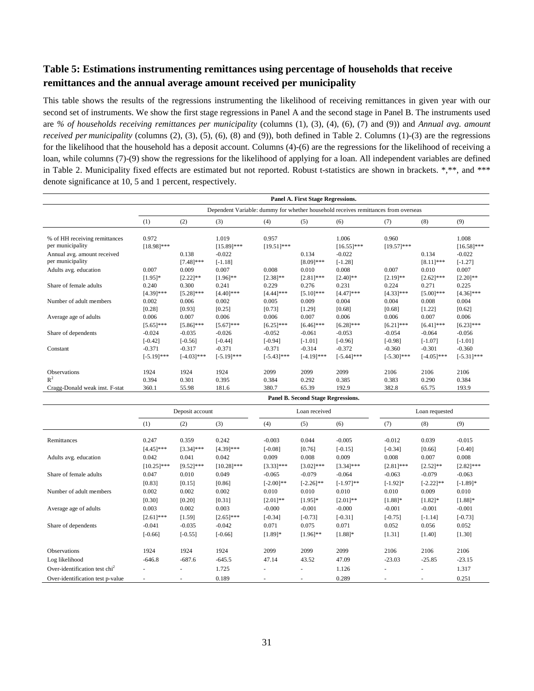# **Table 5: Estimations instrumenting remittances using percentage of households that receive remittances and the annual average amount received per municipality**

This table shows the results of the regressions instrumenting the likelihood of receiving remittances in given year with our second set of instruments. We show the first stage regressions in Panel A and the second stage in Panel B. The instruments used are *% of households receiving remittances per municipality* (columns (1), (3), (4), (6), (7) and (9)) and *Annual avg. amount received per municipality* (columns (2), (3), (5), (6), (8) and (9)), both defined in Table 2. Columns (1)-(3) are the regressions for the likelihood that the household has a deposit account. Columns (4)-(6) are the regressions for the likelihood of receiving a loan, while columns (7)-(9) show the regressions for the likelihood of applying for a loan. All independent variables are defined in Table 2. Municipality fixed effects are estimated but not reported. Robust t-statistics are shown in brackets. \*,\*\*, and \*\*\* denote significance at 10, 5 and 1 percent, respectively.

|                                                   | Panel A. First Stage Regressions.                                                  |                       |                        |                        |                       |                        |                       |                       |                        |  |  |
|---------------------------------------------------|------------------------------------------------------------------------------------|-----------------------|------------------------|------------------------|-----------------------|------------------------|-----------------------|-----------------------|------------------------|--|--|
|                                                   | Dependent Variable: dummy for whether household receives remittances from overseas |                       |                        |                        |                       |                        |                       |                       |                        |  |  |
|                                                   | (1)                                                                                | (2)                   | (3)                    | (4)                    | (5)                   | (6)                    | (7)                   | (8)                   | (9)                    |  |  |
| % of HH receiving remittances<br>per municipality | 0.972<br>$[18.98]$ ***                                                             |                       | 1.019<br>$[15.89]$ *** | 0.957<br>$[19.51]$ *** |                       | 1.006<br>$[16.55]$ *** | 0.960<br>$[19.57]***$ |                       | 1.008<br>$[16.58]$ *** |  |  |
| Annual avg. amount received<br>per municipality   |                                                                                    | 0.138<br>$[7.48]$ *** | $-0.022$<br>$[-1.18]$  |                        | 0.134<br>$[8.09]$ *** | $-0.022$<br>$[-1.28]$  |                       | 0.134<br>$[8.11]$ *** | $-0.022$<br>$[-1.27]$  |  |  |
| Adults avg. education                             | 0.007                                                                              | 0.009                 | 0.007                  | 0.008                  | 0.010                 | 0.008                  | 0.007                 | 0.010                 | 0.007                  |  |  |
|                                                   | $[1.95]$ *                                                                         | $[2.22]$ **           | $[1.96]$ **            | $[2.38]$ **            | $[2.81]$ ***          | $[2.40]$ **            | $[2.19]$ **           | $[2.62]$ ***          | $[2.20]$ **            |  |  |
| Share of female adults                            | 0.240                                                                              | 0.300                 | 0.241                  | 0.229                  | 0.276                 | 0.231                  | 0.224                 | 0.271                 | 0.225                  |  |  |
|                                                   | $[4.39]$ ***                                                                       | $[5.28]$ ***          | $[4.40]$ ***           | $[4.44]$ ***           | $[5.10]$ ***          | $[4.47]$ ***           | $[4.33]$ ***          | $[5.00]$ ***          | $[4.36]$ ***           |  |  |
| Number of adult members                           | 0.002                                                                              | 0.006                 | 0.002                  | 0.005                  | 0.009                 | 0.004                  | 0.004                 | 0.008                 | 0.004                  |  |  |
|                                                   | [0.28]                                                                             | [0.93]                | [0.25]                 | [0.73]                 | [1.29]                | [0.68]                 | [0.68]                | [1.22]                | [0.62]                 |  |  |
| Average age of adults                             | 0.006                                                                              | 0.007                 | 0.006                  | 0.006                  | 0.007                 | 0.006                  | 0.006                 | 0.007                 | 0.006                  |  |  |
|                                                   | $[5.65]$ ***                                                                       | $[5.86]$ ***          | $[5.67]$ ***           | $[6.25]$ ***           | $[6.46]$ ***          | $[6.28]$ ***           | $[6.21]$ ***          | $[6.41]$ ***          | $[6.23]$ ***           |  |  |
| Share of dependents                               | $-0.024$                                                                           | $-0.035$              | $-0.026$               | $-0.052$               | $-0.061$              | $-0.053$               | $-0.054$              | $-0.064$              | $-0.056$               |  |  |
|                                                   | $[-0.42]$                                                                          | $[-0.56]$             | $[-0.44]$              | $[-0.94]$              | $[-1.01]$             | $[-0.96]$              | $[-0.98]$             | $[-1.07]$             | $[-1.01]$              |  |  |
| Constant                                          | $-0.371$                                                                           | $-0.317$              | $-0.371$               | $-0.371$               | $-0.314$              | $-0.372$               | $-0.360$              | $-0.301$              | $-0.360$               |  |  |
|                                                   | $[-5.19]$ ***                                                                      | $[-4.03]$ ***         | $[-5.19]$ ***          | $[-5.43]$ ***          | $[-4.19]$ ***         | $[-5.44]$ ***          | $[-5.30]$ ***         | $[-4.05]$ ***         | $[-5.31]$ ***          |  |  |
| <b>Observations</b>                               | 1924                                                                               | 1924                  | 1924                   | 2099                   | 2099                  | 2099                   | 2106                  | 2106                  | 2106                   |  |  |
| $R^2$                                             | 0.394                                                                              | 0.301                 | 0.395                  | 0.384                  | 0.292                 | 0.385                  | 0.383                 | 0.290                 | 0.384                  |  |  |
| Cragg-Donald weak inst. F-stat                    | 360.1                                                                              | 55.98                 | 181.6                  | 380.7                  | 65.39                 | 192.9                  | 382.8                 | 65.75                 | 193.9                  |  |  |
|                                                   | <b>Panel B. Second Stage Regressions.</b>                                          |                       |                        |                        |                       |                        |                       |                       |                        |  |  |

|                                           | Deposit account |                          |               |              | Loan received |              |              | Loan requested |              |  |
|-------------------------------------------|-----------------|--------------------------|---------------|--------------|---------------|--------------|--------------|----------------|--------------|--|
|                                           | (1)             | (2)                      | (3)           | (4)          | (5)           | (6)          | (7)          | (8)            | (9)          |  |
| Remittances                               | 0.247           | 0.359                    | 0.242         | $-0.003$     | 0.044         | $-0.005$     | $-0.012$     | 0.039          | $-0.015$     |  |
|                                           | $[4.45]$ ***    | $[3.34]$ ***             | $[4.39]$ ***  | $[-0.08]$    | [0.76]        | $[-0.15]$    | $[-0.34]$    | [0.66]         | $[-0.40]$    |  |
| Adults avg. education                     | 0.042           | 0.041                    | 0.042         | 0.009        | 0.008         | 0.009        | 0.008        | 0.007          | 0.008        |  |
|                                           | $[10.25]$ ***   | $[9.52]$ ***             | $[10.28]$ *** | $[3.33]***$  | $[3.02]$ ***  | $[3.34]$ *** | $[2.81]$ *** | $[2.52]$ **    | $[2.82]$ *** |  |
| Share of female adults                    | 0.047           | 0.010                    | 0.049         | $-0.065$     | $-0.079$      | $-0.064$     | $-0.063$     | $-0.079$       | $-0.063$     |  |
|                                           | [0.83]          | [0.15]                   | [0.86]        | $[-2.00]$ ** | $[-2.26]$ **  | $[-1.97]$ ** | $[-1.92]*$   | $[-2.22]$ **   | $[-1.89]$ *  |  |
| Number of adult members                   | 0.002           | 0.002                    | 0.002         | 0.010        | 0.010         | 0.010        | 0.010        | 0.009          | 0.010        |  |
|                                           | [0.30]          | [0.20]                   | [0.31]        | $[2.01]**$   | $[1.95]$ *    | $[2.01]**$   | $[1.88]$ *   | $[1.82]*$      | $[1.88]$ *   |  |
| Average age of adults                     | 0.003           | 0.002                    | 0.003         | $-0.000$     | $-0.001$      | $-0.000$     | $-0.001$     | $-0.001$       | $-0.001$     |  |
|                                           | $[2.61]$ ***    | [1.59]                   | $[2.65]$ ***  | $[-0.34]$    | $[-0.73]$     | $[-0.31]$    | $[-0.75]$    | $[-1.14]$      | $[-0.73]$    |  |
| Share of dependents                       | $-0.041$        | $-0.035$                 | $-0.042$      | 0.071        | 0.075         | 0.071        | 0.052        | 0.056          | 0.052        |  |
|                                           | $[-0.66]$       | $[-0.55]$                | $[-0.66]$     | $[1.89]$ *   | $[1.96]$ **   | $[1.88]$ *   | [1.31]       | [1.40]         | [1.30]       |  |
|                                           |                 |                          |               |              |               |              |              |                |              |  |
| <b>Observations</b>                       | 1924            | 1924                     | 1924          | 2099         | 2099          | 2099         | 2106         | 2106           | 2106         |  |
| Log likelihood                            | $-646.8$        | $-687.6$                 | $-645.5$      | 47.14        | 43.52         | 47.09        | $-23.03$     | $-25.85$       | $-23.15$     |  |
| Over-identification test chi <sup>2</sup> |                 | $\overline{\phantom{a}}$ | 1.725         | $\sim$       |               | 1.126        |              |                | 1.317        |  |
| Over-identification test p-value          |                 |                          | 0.189         |              |               | 0.289        |              |                | 0.251        |  |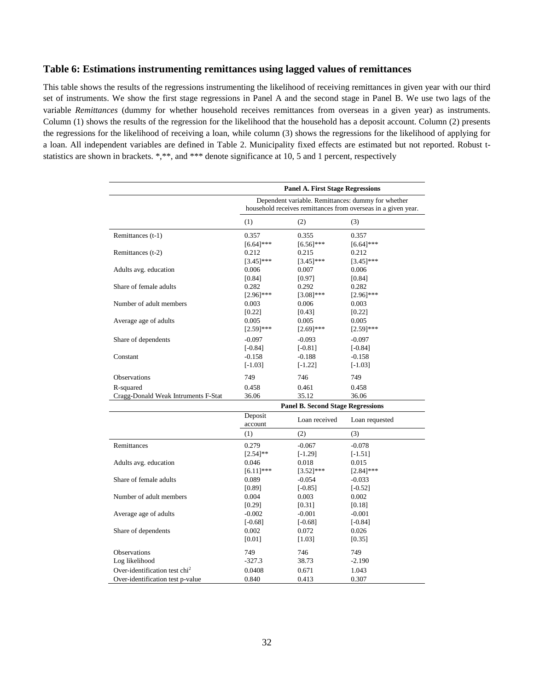#### **Table 6: Estimations instrumenting remittances using lagged values of remittances**

This table shows the results of the regressions instrumenting the likelihood of receiving remittances in given year with our third set of instruments. We show the first stage regressions in Panel A and the second stage in Panel B. We use two lags of the variable *Remittances* (dummy for whether household receives remittances from overseas in a given year) as instruments. Column (1) shows the results of the regression for the likelihood that the household has a deposit account. Column (2) presents the regressions for the likelihood of receiving a loan, while column (3) shows the regressions for the likelihood of applying for a loan. All independent variables are defined in Table 2. Municipality fixed effects are estimated but not reported. Robust tstatistics are shown in brackets. \*,\*\*, and \*\*\* denote significance at 10, 5 and 1 percent, respectively

|                                           | <b>Panel A. First Stage Regressions</b> |                                          |                                                                                                                     |  |  |  |  |  |
|-------------------------------------------|-----------------------------------------|------------------------------------------|---------------------------------------------------------------------------------------------------------------------|--|--|--|--|--|
|                                           |                                         |                                          | Dependent variable. Remittances: dummy for whether<br>household receives remittances from overseas in a given year. |  |  |  |  |  |
|                                           | (1)                                     | (2)                                      | (3)                                                                                                                 |  |  |  |  |  |
| Remittances (t-1)                         | 0.357                                   | 0.355                                    | 0.357                                                                                                               |  |  |  |  |  |
| Remittances (t-2)                         | $[6.64]$ ***<br>0.212<br>$[3.45]$ ***   | $[6.56]$ ***<br>0.215<br>$[3.45]$ ***    | $[6.64]$ ***<br>0.212<br>$[3.45]$ ***                                                                               |  |  |  |  |  |
| Adults avg. education                     | 0.006<br>[0.84]                         | 0.007<br>[0.97]                          | 0.006<br>[0.84]                                                                                                     |  |  |  |  |  |
| Share of female adults                    | 0.282<br>$[2.96]$ ***                   | 0.292<br>$[3.08]$ ***                    | 0.282<br>$[2.96]$ ***                                                                                               |  |  |  |  |  |
| Number of adult members                   | 0.003<br>[0.22]                         | 0.006<br>[0.43]                          | 0.003<br>[0.22]                                                                                                     |  |  |  |  |  |
| Average age of adults                     | 0.005<br>$[2.59]$ ***                   | 0.005<br>$[2.69]$ ***                    | 0.005<br>$[2.59]$ ***                                                                                               |  |  |  |  |  |
| Share of dependents                       | $-0.097$<br>$[-0.84]$                   | $-0.093$<br>$[-0.81]$                    | $-0.097$<br>$[-0.84]$                                                                                               |  |  |  |  |  |
| Constant                                  | $-0.158$<br>$[-1.03]$                   | $-0.188$<br>$[-1.22]$                    | $-0.158$<br>$[-1.03]$                                                                                               |  |  |  |  |  |
| <b>Observations</b>                       | 749                                     | 746                                      | 749                                                                                                                 |  |  |  |  |  |
| R-squared                                 | 0.458                                   | 0.461                                    | 0.458                                                                                                               |  |  |  |  |  |
| Cragg-Donald Weak Intruments F-Stat       | 36.06                                   | 35.12                                    | 36.06                                                                                                               |  |  |  |  |  |
|                                           |                                         | <b>Panel B. Second Stage Regressions</b> |                                                                                                                     |  |  |  |  |  |
|                                           | Deposit<br>account                      | Loan received                            | Loan requested                                                                                                      |  |  |  |  |  |
|                                           | (1)                                     | (2)                                      | (3)                                                                                                                 |  |  |  |  |  |
| Remittances                               | 0.279                                   | $-0.067$                                 | $-0.078$                                                                                                            |  |  |  |  |  |
|                                           | $[2.54]$ **                             | $[-1.29]$                                | $[-1.51]$                                                                                                           |  |  |  |  |  |
| Adults avg. education                     | 0.046                                   | 0.018                                    | 0.015                                                                                                               |  |  |  |  |  |
| Share of female adults                    | $[6.11]$ ***<br>0.089                   | $[3.52]$ ***<br>$-0.054$                 | $[2.84]$ ***<br>$-0.033$                                                                                            |  |  |  |  |  |
|                                           | [0.89]                                  | $[-0.85]$                                | $[-0.52]$                                                                                                           |  |  |  |  |  |
| Number of adult members                   | 0.004                                   | 0.003                                    | 0.002                                                                                                               |  |  |  |  |  |
|                                           | [0.29]                                  | [0.31]                                   | [0.18]                                                                                                              |  |  |  |  |  |
| Average age of adults                     | $-0.002$                                | $-0.001$                                 | $-0.001$                                                                                                            |  |  |  |  |  |
|                                           | $[-0.68]$                               | $[-0.68]$                                | $[-0.84]$                                                                                                           |  |  |  |  |  |
| Share of dependents                       | 0.002                                   | 0.072                                    | 0.026                                                                                                               |  |  |  |  |  |
|                                           | $[0.01]$                                | [1.03]                                   | [0.35]                                                                                                              |  |  |  |  |  |
| Observations                              | 749                                     | 746                                      | 749                                                                                                                 |  |  |  |  |  |
| Log likelihood                            | -327.3                                  | 38.73                                    | $-2.190$                                                                                                            |  |  |  |  |  |
| Over-identification test chi <sup>2</sup> | 0.0408                                  | 0.671                                    | 1.043                                                                                                               |  |  |  |  |  |
| Over-identification test p-value          | 0.840                                   | 0.413                                    | 0.307                                                                                                               |  |  |  |  |  |